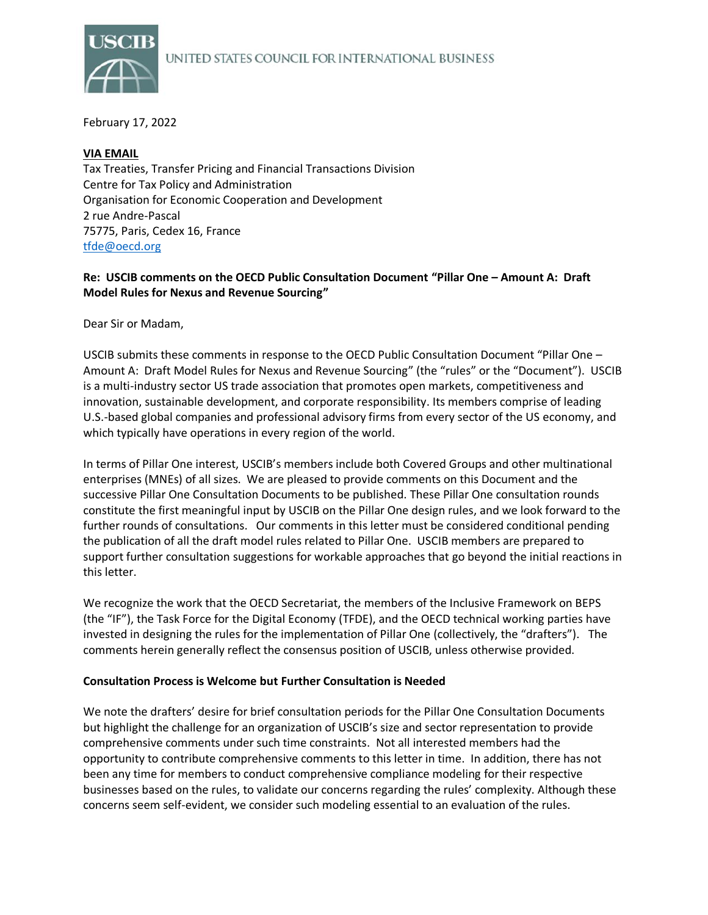

February 17, 2022

## **VIA EMAIL**

Tax Treaties, Transfer Pricing and Financial Transactions Division Centre for Tax Policy and Administration Organisation for Economic Cooperation and Development 2 rue Andre-Pascal 75775, Paris, Cedex 16, France [tfde@oecd.org](mailto:tfde@oecd.org)

## **Re: USCIB comments on the OECD Public Consultation Document "Pillar One – Amount A: Draft Model Rules for Nexus and Revenue Sourcing"**

Dear Sir or Madam,

USCIB submits these comments in response to the OECD Public Consultation Document "Pillar One – Amount A: Draft Model Rules for Nexus and Revenue Sourcing" (the "rules" or the "Document"). USCIB is a multi-industry sector US trade association that promotes open markets, competitiveness and innovation, sustainable development, and corporate responsibility. Its members comprise of leading U.S.-based global companies and professional advisory firms from every sector of the US economy, and which typically have operations in every region of the world.

In terms of Pillar One interest, USCIB's members include both Covered Groups and other multinational enterprises (MNEs) of all sizes. We are pleased to provide comments on this Document and the successive Pillar One Consultation Documents to be published. These Pillar One consultation rounds constitute the first meaningful input by USCIB on the Pillar One design rules, and we look forward to the further rounds of consultations. Our comments in this letter must be considered conditional pending the publication of all the draft model rules related to Pillar One. USCIB members are prepared to support further consultation suggestions for workable approaches that go beyond the initial reactions in this letter.

We recognize the work that the OECD Secretariat, the members of the Inclusive Framework on BEPS (the "IF"), the Task Force for the Digital Economy (TFDE), and the OECD technical working parties have invested in designing the rules for the implementation of Pillar One (collectively, the "drafters"). The comments herein generally reflect the consensus position of USCIB, unless otherwise provided.

#### **Consultation Process is Welcome but Further Consultation is Needed**

We note the drafters' desire for brief consultation periods for the Pillar One Consultation Documents but highlight the challenge for an organization of USCIB's size and sector representation to provide comprehensive comments under such time constraints. Not all interested members had the opportunity to contribute comprehensive comments to this letter in time. In addition, there has not been any time for members to conduct comprehensive compliance modeling for their respective businesses based on the rules, to validate our concerns regarding the rules' complexity. Although these concerns seem self-evident, we consider such modeling essential to an evaluation of the rules.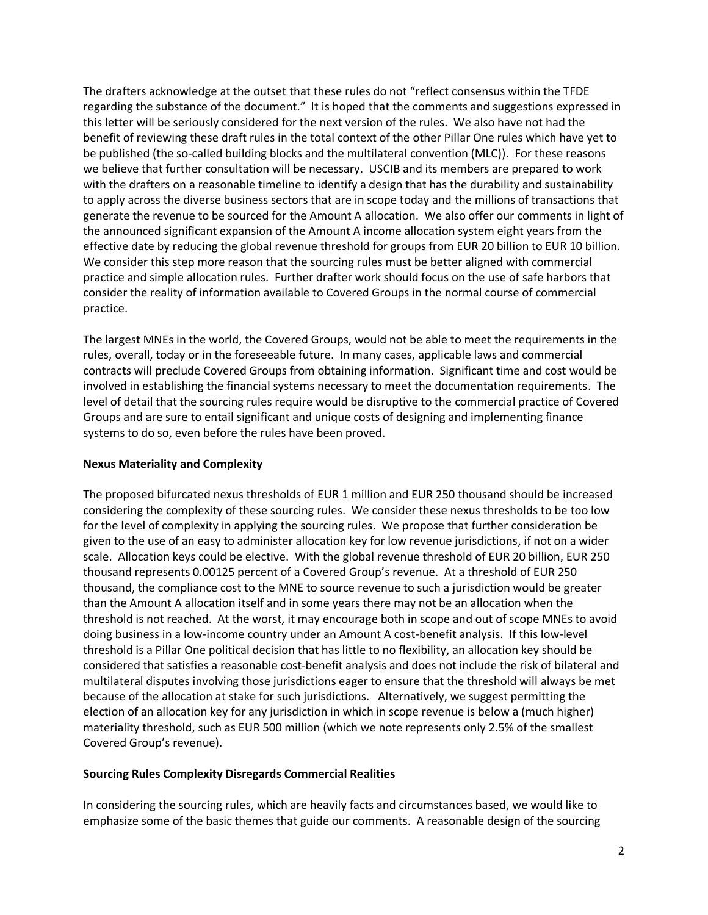The drafters acknowledge at the outset that these rules do not "reflect consensus within the TFDE regarding the substance of the document." It is hoped that the comments and suggestions expressed in this letter will be seriously considered for the next version of the rules. We also have not had the benefit of reviewing these draft rules in the total context of the other Pillar One rules which have yet to be published (the so-called building blocks and the multilateral convention (MLC)). For these reasons we believe that further consultation will be necessary. USCIB and its members are prepared to work with the drafters on a reasonable timeline to identify a design that has the durability and sustainability to apply across the diverse business sectors that are in scope today and the millions of transactions that generate the revenue to be sourced for the Amount A allocation. We also offer our comments in light of the announced significant expansion of the Amount A income allocation system eight years from the effective date by reducing the global revenue threshold for groups from EUR 20 billion to EUR 10 billion. We consider this step more reason that the sourcing rules must be better aligned with commercial practice and simple allocation rules. Further drafter work should focus on the use of safe harbors that consider the reality of information available to Covered Groups in the normal course of commercial practice.

The largest MNEs in the world, the Covered Groups, would not be able to meet the requirements in the rules, overall, today or in the foreseeable future. In many cases, applicable laws and commercial contracts will preclude Covered Groups from obtaining information. Significant time and cost would be involved in establishing the financial systems necessary to meet the documentation requirements. The level of detail that the sourcing rules require would be disruptive to the commercial practice of Covered Groups and are sure to entail significant and unique costs of designing and implementing finance systems to do so, even before the rules have been proved.

## **Nexus Materiality and Complexity**

The proposed bifurcated nexus thresholds of EUR 1 million and EUR 250 thousand should be increased considering the complexity of these sourcing rules. We consider these nexus thresholds to be too low for the level of complexity in applying the sourcing rules. We propose that further consideration be given to the use of an easy to administer allocation key for low revenue jurisdictions, if not on a wider scale. Allocation keys could be elective. With the global revenue threshold of EUR 20 billion, EUR 250 thousand represents 0.00125 percent of a Covered Group's revenue. At a threshold of EUR 250 thousand, the compliance cost to the MNE to source revenue to such a jurisdiction would be greater than the Amount A allocation itself and in some years there may not be an allocation when the threshold is not reached. At the worst, it may encourage both in scope and out of scope MNEs to avoid doing business in a low-income country under an Amount A cost-benefit analysis. If this low-level threshold is a Pillar One political decision that has little to no flexibility, an allocation key should be considered that satisfies a reasonable cost-benefit analysis and does not include the risk of bilateral and multilateral disputes involving those jurisdictions eager to ensure that the threshold will always be met because of the allocation at stake for such jurisdictions. Alternatively, we suggest permitting the election of an allocation key for any jurisdiction in which in scope revenue is below a (much higher) materiality threshold, such as EUR 500 million (which we note represents only 2.5% of the smallest Covered Group's revenue).

#### **Sourcing Rules Complexity Disregards Commercial Realities**

In considering the sourcing rules, which are heavily facts and circumstances based, we would like to emphasize some of the basic themes that guide our comments. A reasonable design of the sourcing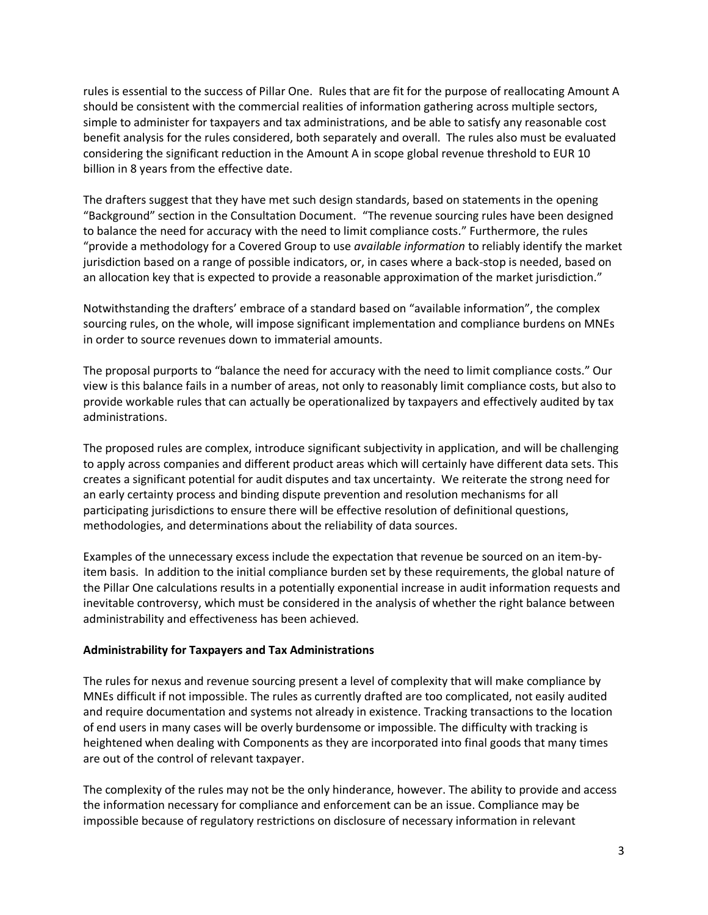rules is essential to the success of Pillar One. Rules that are fit for the purpose of reallocating Amount A should be consistent with the commercial realities of information gathering across multiple sectors, simple to administer for taxpayers and tax administrations, and be able to satisfy any reasonable cost benefit analysis for the rules considered, both separately and overall. The rules also must be evaluated considering the significant reduction in the Amount A in scope global revenue threshold to EUR 10 billion in 8 years from the effective date.

The drafters suggest that they have met such design standards, based on statements in the opening "Background" section in the Consultation Document. "The revenue sourcing rules have been designed to balance the need for accuracy with the need to limit compliance costs." Furthermore, the rules "provide a methodology for a Covered Group to use *available information* to reliably identify the market jurisdiction based on a range of possible indicators, or, in cases where a back-stop is needed, based on an allocation key that is expected to provide a reasonable approximation of the market jurisdiction."

Notwithstanding the drafters' embrace of a standard based on "available information", the complex sourcing rules, on the whole, will impose significant implementation and compliance burdens on MNEs in order to source revenues down to immaterial amounts.

The proposal purports to "balance the need for accuracy with the need to limit compliance costs." Our view is this balance fails in a number of areas, not only to reasonably limit compliance costs, but also to provide workable rules that can actually be operationalized by taxpayers and effectively audited by tax administrations.

The proposed rules are complex, introduce significant subjectivity in application, and will be challenging to apply across companies and different product areas which will certainly have different data sets. This creates a significant potential for audit disputes and tax uncertainty. We reiterate the strong need for an early certainty process and binding dispute prevention and resolution mechanisms for all participating jurisdictions to ensure there will be effective resolution of definitional questions, methodologies, and determinations about the reliability of data sources.

Examples of the unnecessary excess include the expectation that revenue be sourced on an item-byitem basis. In addition to the initial compliance burden set by these requirements, the global nature of the Pillar One calculations results in a potentially exponential increase in audit information requests and inevitable controversy, which must be considered in the analysis of whether the right balance between administrability and effectiveness has been achieved.

#### **Administrability for Taxpayers and Tax Administrations**

The rules for nexus and revenue sourcing present a level of complexity that will make compliance by MNEs difficult if not impossible. The rules as currently drafted are too complicated, not easily audited and require documentation and systems not already in existence. Tracking transactions to the location of end users in many cases will be overly burdensome or impossible. The difficulty with tracking is heightened when dealing with Components as they are incorporated into final goods that many times are out of the control of relevant taxpayer.

The complexity of the rules may not be the only hinderance, however. The ability to provide and access the information necessary for compliance and enforcement can be an issue. Compliance may be impossible because of regulatory restrictions on disclosure of necessary information in relevant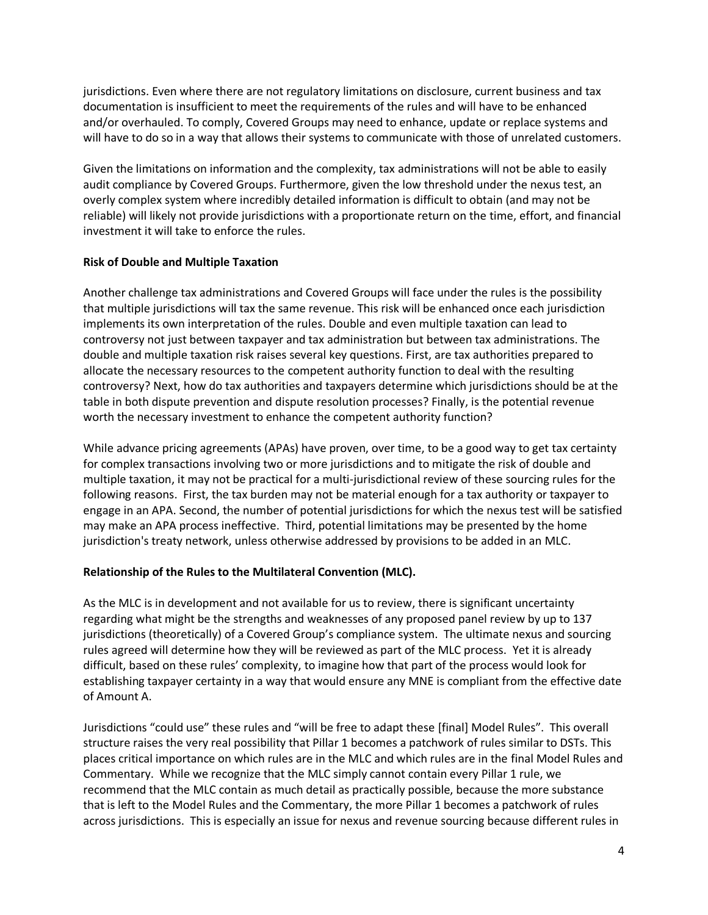jurisdictions. Even where there are not regulatory limitations on disclosure, current business and tax documentation is insufficient to meet the requirements of the rules and will have to be enhanced and/or overhauled. To comply, Covered Groups may need to enhance, update or replace systems and will have to do so in a way that allows their systems to communicate with those of unrelated customers.

Given the limitations on information and the complexity, tax administrations will not be able to easily audit compliance by Covered Groups. Furthermore, given the low threshold under the nexus test, an overly complex system where incredibly detailed information is difficult to obtain (and may not be reliable) will likely not provide jurisdictions with a proportionate return on the time, effort, and financial investment it will take to enforce the rules.

#### **Risk of Double and Multiple Taxation**

Another challenge tax administrations and Covered Groups will face under the rules is the possibility that multiple jurisdictions will tax the same revenue. This risk will be enhanced once each jurisdiction implements its own interpretation of the rules. Double and even multiple taxation can lead to controversy not just between taxpayer and tax administration but between tax administrations. The double and multiple taxation risk raises several key questions. First, are tax authorities prepared to allocate the necessary resources to the competent authority function to deal with the resulting controversy? Next, how do tax authorities and taxpayers determine which jurisdictions should be at the table in both dispute prevention and dispute resolution processes? Finally, is the potential revenue worth the necessary investment to enhance the competent authority function?

While advance pricing agreements (APAs) have proven, over time, to be a good way to get tax certainty for complex transactions involving two or more jurisdictions and to mitigate the risk of double and multiple taxation, it may not be practical for a multi-jurisdictional review of these sourcing rules for the following reasons. First, the tax burden may not be material enough for a tax authority or taxpayer to engage in an APA. Second, the number of potential jurisdictions for which the nexus test will be satisfied may make an APA process ineffective. Third, potential limitations may be presented by the home jurisdiction's treaty network, unless otherwise addressed by provisions to be added in an MLC.

#### **Relationship of the Rules to the Multilateral Convention (MLC).**

As the MLC is in development and not available for us to review, there is significant uncertainty regarding what might be the strengths and weaknesses of any proposed panel review by up to 137 jurisdictions (theoretically) of a Covered Group's compliance system. The ultimate nexus and sourcing rules agreed will determine how they will be reviewed as part of the MLC process. Yet it is already difficult, based on these rules' complexity, to imagine how that part of the process would look for establishing taxpayer certainty in a way that would ensure any MNE is compliant from the effective date of Amount A.

Jurisdictions "could use" these rules and "will be free to adapt these [final] Model Rules". This overall structure raises the very real possibility that Pillar 1 becomes a patchwork of rules similar to DSTs. This places critical importance on which rules are in the MLC and which rules are in the final Model Rules and Commentary. While we recognize that the MLC simply cannot contain every Pillar 1 rule, we recommend that the MLC contain as much detail as practically possible, because the more substance that is left to the Model Rules and the Commentary, the more Pillar 1 becomes a patchwork of rules across jurisdictions. This is especially an issue for nexus and revenue sourcing because different rules in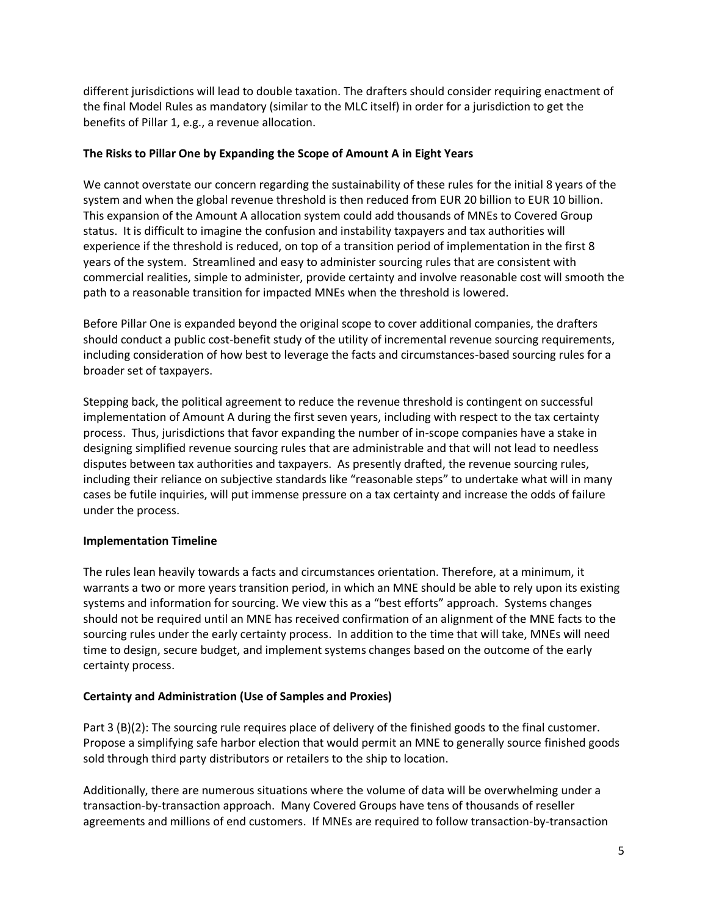different jurisdictions will lead to double taxation. The drafters should consider requiring enactment of the final Model Rules as mandatory (similar to the MLC itself) in order for a jurisdiction to get the benefits of Pillar 1, e.g., a revenue allocation.

## **The Risks to Pillar One by Expanding the Scope of Amount A in Eight Years**

We cannot overstate our concern regarding the sustainability of these rules for the initial 8 years of the system and when the global revenue threshold is then reduced from EUR 20 billion to EUR 10 billion. This expansion of the Amount A allocation system could add thousands of MNEs to Covered Group status. It is difficult to imagine the confusion and instability taxpayers and tax authorities will experience if the threshold is reduced, on top of a transition period of implementation in the first 8 years of the system. Streamlined and easy to administer sourcing rules that are consistent with commercial realities, simple to administer, provide certainty and involve reasonable cost will smooth the path to a reasonable transition for impacted MNEs when the threshold is lowered.

Before Pillar One is expanded beyond the original scope to cover additional companies, the drafters should conduct a public cost-benefit study of the utility of incremental revenue sourcing requirements, including consideration of how best to leverage the facts and circumstances-based sourcing rules for a broader set of taxpayers.

Stepping back, the political agreement to reduce the revenue threshold is contingent on successful implementation of Amount A during the first seven years, including with respect to the tax certainty process. Thus, jurisdictions that favor expanding the number of in-scope companies have a stake in designing simplified revenue sourcing rules that are administrable and that will not lead to needless disputes between tax authorities and taxpayers. As presently drafted, the revenue sourcing rules, including their reliance on subjective standards like "reasonable steps" to undertake what will in many cases be futile inquiries, will put immense pressure on a tax certainty and increase the odds of failure under the process.

# **Implementation Timeline**

The rules lean heavily towards a facts and circumstances orientation. Therefore, at a minimum, it warrants a two or more years transition period, in which an MNE should be able to rely upon its existing systems and information for sourcing. We view this as a "best efforts" approach. Systems changes should not be required until an MNE has received confirmation of an alignment of the MNE facts to the sourcing rules under the early certainty process. In addition to the time that will take, MNEs will need time to design, secure budget, and implement systems changes based on the outcome of the early certainty process.

# **Certainty and Administration (Use of Samples and Proxies)**

Part 3 (B)(2): The sourcing rule requires place of delivery of the finished goods to the final customer. Propose a simplifying safe harbor election that would permit an MNE to generally source finished goods sold through third party distributors or retailers to the ship to location.

Additionally, there are numerous situations where the volume of data will be overwhelming under a transaction-by-transaction approach. Many Covered Groups have tens of thousands of reseller agreements and millions of end customers. If MNEs are required to follow transaction-by-transaction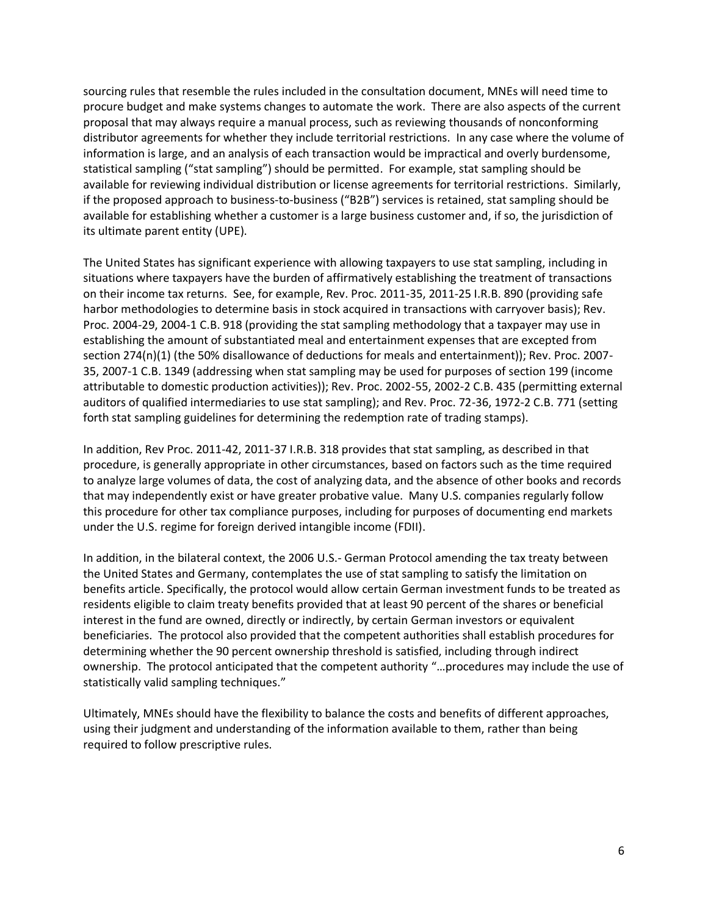sourcing rules that resemble the rules included in the consultation document, MNEs will need time to procure budget and make systems changes to automate the work. There are also aspects of the current proposal that may always require a manual process, such as reviewing thousands of nonconforming distributor agreements for whether they include territorial restrictions. In any case where the volume of information is large, and an analysis of each transaction would be impractical and overly burdensome, statistical sampling ("stat sampling") should be permitted. For example, stat sampling should be available for reviewing individual distribution or license agreements for territorial restrictions. Similarly, if the proposed approach to business-to-business ("B2B") services is retained, stat sampling should be available for establishing whether a customer is a large business customer and, if so, the jurisdiction of its ultimate parent entity (UPE).

The United States has significant experience with allowing taxpayers to use stat sampling, including in situations where taxpayers have the burden of affirmatively establishing the treatment of transactions on their income tax returns. See, for example, Rev. Proc. 2011-35, 2011-25 I.R.B. 890 (providing safe harbor methodologies to determine basis in stock acquired in transactions with carryover basis); Rev. Proc. 2004-29, 2004-1 C.B. 918 (providing the stat sampling methodology that a taxpayer may use in establishing the amount of substantiated meal and entertainment expenses that are excepted from section 274(n)(1) (the 50% disallowance of deductions for meals and entertainment)); Rev. Proc. 2007- 35, 2007-1 C.B. 1349 (addressing when stat sampling may be used for purposes of section 199 (income attributable to domestic production activities)); Rev. Proc. 2002-55, 2002-2 C.B. 435 (permitting external auditors of qualified intermediaries to use stat sampling); and Rev. Proc. 72-36, 1972-2 C.B. 771 (setting forth stat sampling guidelines for determining the redemption rate of trading stamps).

In addition, Rev Proc. 2011-42, 2011-37 I.R.B. 318 provides that stat sampling, as described in that procedure, is generally appropriate in other circumstances, based on factors such as the time required to analyze large volumes of data, the cost of analyzing data, and the absence of other books and records that may independently exist or have greater probative value. Many U.S. companies regularly follow this procedure for other tax compliance purposes, including for purposes of documenting end markets under the U.S. regime for foreign derived intangible income (FDII).

In addition, in the bilateral context, the 2006 U.S.- German Protocol amending the tax treaty between the United States and Germany, contemplates the use of stat sampling to satisfy the limitation on benefits article. Specifically, the protocol would allow certain German investment funds to be treated as residents eligible to claim treaty benefits provided that at least 90 percent of the shares or beneficial interest in the fund are owned, directly or indirectly, by certain German investors or equivalent beneficiaries. The protocol also provided that the competent authorities shall establish procedures for determining whether the 90 percent ownership threshold is satisfied, including through indirect ownership. The protocol anticipated that the competent authority "…procedures may include the use of statistically valid sampling techniques."

Ultimately, MNEs should have the flexibility to balance the costs and benefits of different approaches, using their judgment and understanding of the information available to them, rather than being required to follow prescriptive rules.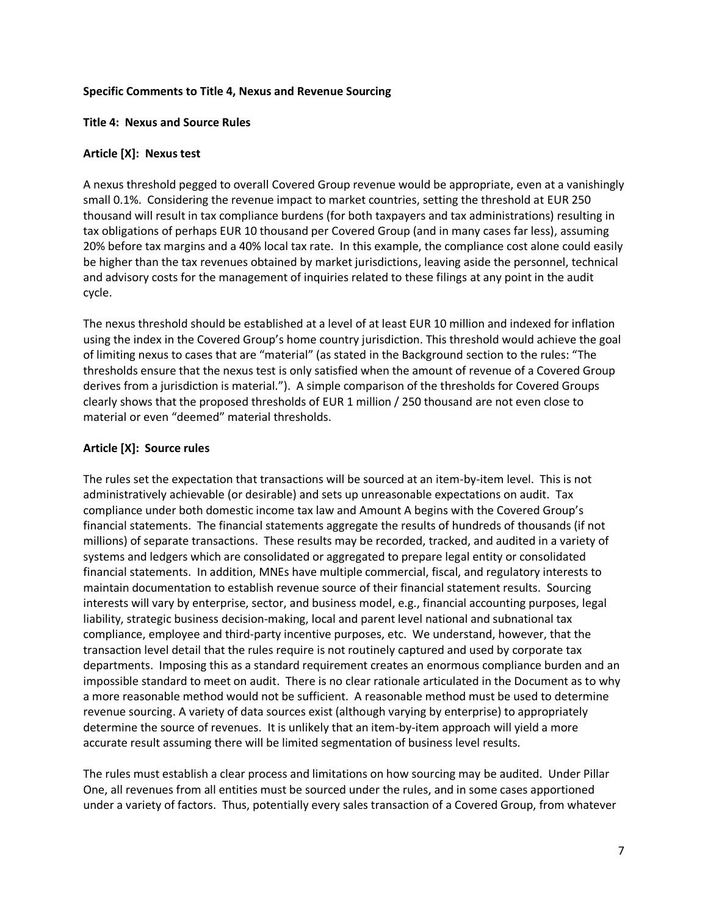#### **Specific Comments to Title 4, Nexus and Revenue Sourcing**

#### **Title 4: Nexus and Source Rules**

#### **Article [X]: Nexus test**

A nexus threshold pegged to overall Covered Group revenue would be appropriate, even at a vanishingly small 0.1%. Considering the revenue impact to market countries, setting the threshold at EUR 250 thousand will result in tax compliance burdens (for both taxpayers and tax administrations) resulting in tax obligations of perhaps EUR 10 thousand per Covered Group (and in many cases far less), assuming 20% before tax margins and a 40% local tax rate. In this example, the compliance cost alone could easily be higher than the tax revenues obtained by market jurisdictions, leaving aside the personnel, technical and advisory costs for the management of inquiries related to these filings at any point in the audit cycle.

The nexus threshold should be established at a level of at least EUR 10 million and indexed for inflation using the index in the Covered Group's home country jurisdiction. This threshold would achieve the goal of limiting nexus to cases that are "material" (as stated in the Background section to the rules: "The thresholds ensure that the nexus test is only satisfied when the amount of revenue of a Covered Group derives from a jurisdiction is material."). A simple comparison of the thresholds for Covered Groups clearly shows that the proposed thresholds of EUR 1 million / 250 thousand are not even close to material or even "deemed" material thresholds.

#### **Article [X]: Source rules**

The rules set the expectation that transactions will be sourced at an item-by-item level. This is not administratively achievable (or desirable) and sets up unreasonable expectations on audit. Tax compliance under both domestic income tax law and Amount A begins with the Covered Group's financial statements. The financial statements aggregate the results of hundreds of thousands (if not millions) of separate transactions. These results may be recorded, tracked, and audited in a variety of systems and ledgers which are consolidated or aggregated to prepare legal entity or consolidated financial statements. In addition, MNEs have multiple commercial, fiscal, and regulatory interests to maintain documentation to establish revenue source of their financial statement results. Sourcing interests will vary by enterprise, sector, and business model, e.g., financial accounting purposes, legal liability, strategic business decision-making, local and parent level national and subnational tax compliance, employee and third-party incentive purposes, etc. We understand, however, that the transaction level detail that the rules require is not routinely captured and used by corporate tax departments. Imposing this as a standard requirement creates an enormous compliance burden and an impossible standard to meet on audit. There is no clear rationale articulated in the Document as to why a more reasonable method would not be sufficient. A reasonable method must be used to determine revenue sourcing. A variety of data sources exist (although varying by enterprise) to appropriately determine the source of revenues. It is unlikely that an item-by-item approach will yield a more accurate result assuming there will be limited segmentation of business level results.

The rules must establish a clear process and limitations on how sourcing may be audited. Under Pillar One, all revenues from all entities must be sourced under the rules, and in some cases apportioned under a variety of factors. Thus, potentially every sales transaction of a Covered Group, from whatever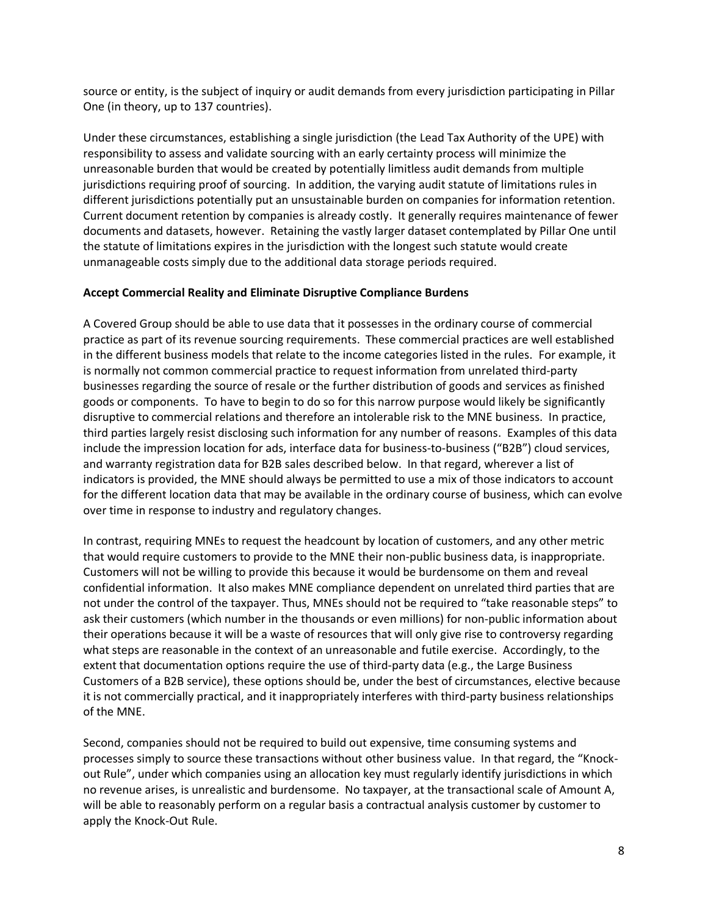source or entity, is the subject of inquiry or audit demands from every jurisdiction participating in Pillar One (in theory, up to 137 countries).

Under these circumstances, establishing a single jurisdiction (the Lead Tax Authority of the UPE) with responsibility to assess and validate sourcing with an early certainty process will minimize the unreasonable burden that would be created by potentially limitless audit demands from multiple jurisdictions requiring proof of sourcing. In addition, the varying audit statute of limitations rules in different jurisdictions potentially put an unsustainable burden on companies for information retention. Current document retention by companies is already costly. It generally requires maintenance of fewer documents and datasets, however. Retaining the vastly larger dataset contemplated by Pillar One until the statute of limitations expires in the jurisdiction with the longest such statute would create unmanageable costs simply due to the additional data storage periods required.

#### **Accept Commercial Reality and Eliminate Disruptive Compliance Burdens**

A Covered Group should be able to use data that it possesses in the ordinary course of commercial practice as part of its revenue sourcing requirements. These commercial practices are well established in the different business models that relate to the income categories listed in the rules. For example, it is normally not common commercial practice to request information from unrelated third-party businesses regarding the source of resale or the further distribution of goods and services as finished goods or components. To have to begin to do so for this narrow purpose would likely be significantly disruptive to commercial relations and therefore an intolerable risk to the MNE business. In practice, third parties largely resist disclosing such information for any number of reasons. Examples of this data include the impression location for ads, interface data for business-to-business ("B2B") cloud services, and warranty registration data for B2B sales described below. In that regard, wherever a list of indicators is provided, the MNE should always be permitted to use a mix of those indicators to account for the different location data that may be available in the ordinary course of business, which can evolve over time in response to industry and regulatory changes.

In contrast, requiring MNEs to request the headcount by location of customers, and any other metric that would require customers to provide to the MNE their non-public business data, is inappropriate. Customers will not be willing to provide this because it would be burdensome on them and reveal confidential information. It also makes MNE compliance dependent on unrelated third parties that are not under the control of the taxpayer. Thus, MNEs should not be required to "take reasonable steps" to ask their customers (which number in the thousands or even millions) for non-public information about their operations because it will be a waste of resources that will only give rise to controversy regarding what steps are reasonable in the context of an unreasonable and futile exercise. Accordingly, to the extent that documentation options require the use of third-party data (e.g., the Large Business Customers of a B2B service), these options should be, under the best of circumstances, elective because it is not commercially practical, and it inappropriately interferes with third-party business relationships of the MNE.

Second, companies should not be required to build out expensive, time consuming systems and processes simply to source these transactions without other business value. In that regard, the "Knockout Rule", under which companies using an allocation key must regularly identify jurisdictions in which no revenue arises, is unrealistic and burdensome. No taxpayer, at the transactional scale of Amount A, will be able to reasonably perform on a regular basis a contractual analysis customer by customer to apply the Knock-Out Rule.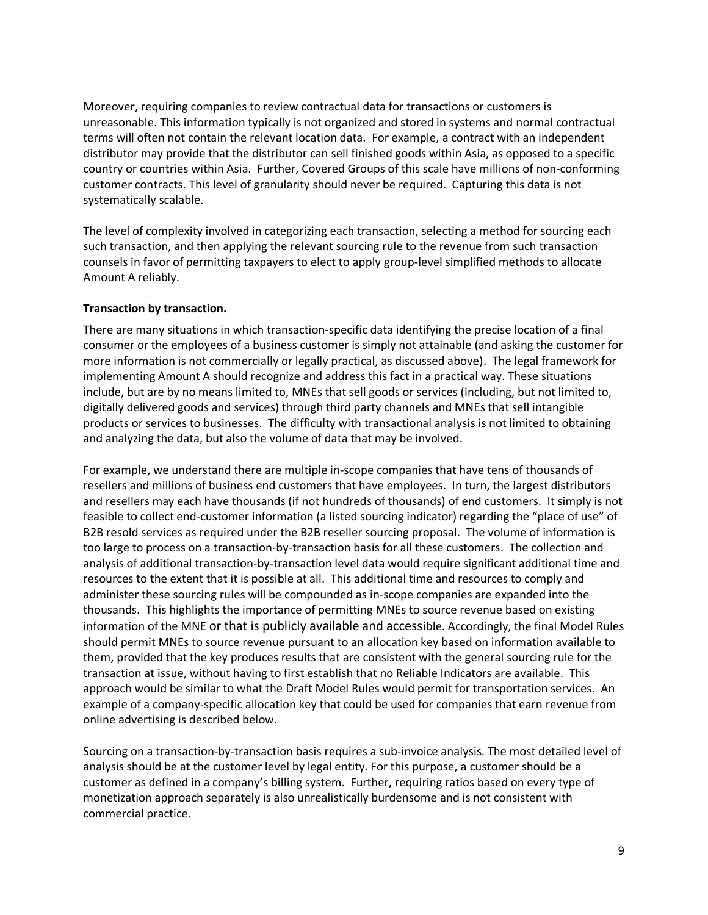Moreover, requiring companies to review contractual data for transactions or customers is unreasonable. This information typically is not organized and stored in systems and normal contractual terms will often not contain the relevant location data. For example, a contract with an independent distributor may provide that the distributor can sell finished goods within Asia, as opposed to a specific country or countries within Asia. Further, Covered Groups of this scale have millions of non-conforming customer contracts. This level of granularity should never be required. Capturing this data is not systematically scalable.

The level of complexity involved in categorizing each transaction, selecting a method for sourcing each such transaction, and then applying the relevant sourcing rule to the revenue from such transaction counsels in favor of permitting taxpayers to elect to apply group-level simplified methods to allocate Amount A reliably.

## **Transaction by transaction.**

There are many situations in which transaction-specific data identifying the precise location of a final consumer or the employees of a business customer is simply not attainable (and asking the customer for more information is not commercially or legally practical, as discussed above). The legal framework for implementing Amount A should recognize and address this fact in a practical way. These situations include, but are by no means limited to, MNEs that sell goods or services (including, but not limited to, digitally delivered goods and services) through third party channels and MNEs that sell intangible products or services to businesses. The difficulty with transactional analysis is not limited to obtaining and analyzing the data, but also the volume of data that may be involved.

For example, we understand there are multiple in-scope companies that have tens of thousands of resellers and millions of business end customers that have employees. In turn, the largest distributors and resellers may each have thousands (if not hundreds of thousands) of end customers. It simply is not feasible to collect end-customer information (a listed sourcing indicator) regarding the "place of use" of B2B resold services as required under the B2B reseller sourcing proposal. The volume of information is too large to process on a transaction-by-transaction basis for all these customers. The collection and analysis of additional transaction-by-transaction level data would require significant additional time and resources to the extent that it is possible at all. This additional time and resources to comply and administer these sourcing rules will be compounded as in-scope companies are expanded into the thousands. This highlights the importance of permitting MNEs to source revenue based on existing information of the MNE or that is publicly available and accessible. Accordingly, the final Model Rules should permit MNEs to source revenue pursuant to an allocation key based on information available to them, provided that the key produces results that are consistent with the general sourcing rule for the transaction at issue, without having to first establish that no Reliable Indicators are available. This approach would be similar to what the Draft Model Rules would permit for transportation services. An example of a company-specific allocation key that could be used for companies that earn revenue from online advertising is described below.

Sourcing on a transaction-by-transaction basis requires a sub-invoice analysis. The most detailed level of analysis should be at the customer level by legal entity. For this purpose, a customer should be a customer as defined in a company's billing system. Further, requiring ratios based on every type of monetization approach separately is also unrealistically burdensome and is not consistent with commercial practice.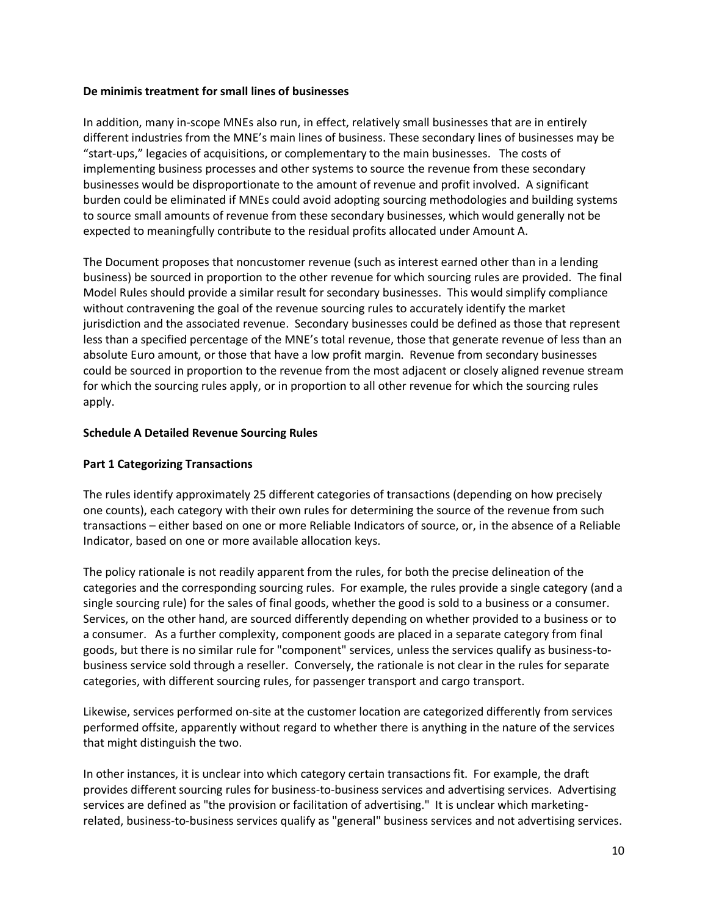#### **De minimis treatment for small lines of businesses**

In addition, many in-scope MNEs also run, in effect, relatively small businesses that are in entirely different industries from the MNE's main lines of business. These secondary lines of businesses may be "start-ups," legacies of acquisitions, or complementary to the main businesses. The costs of implementing business processes and other systems to source the revenue from these secondary businesses would be disproportionate to the amount of revenue and profit involved. A significant burden could be eliminated if MNEs could avoid adopting sourcing methodologies and building systems to source small amounts of revenue from these secondary businesses, which would generally not be expected to meaningfully contribute to the residual profits allocated under Amount A.

The Document proposes that noncustomer revenue (such as interest earned other than in a lending business) be sourced in proportion to the other revenue for which sourcing rules are provided. The final Model Rules should provide a similar result for secondary businesses. This would simplify compliance without contravening the goal of the revenue sourcing rules to accurately identify the market jurisdiction and the associated revenue. Secondary businesses could be defined as those that represent less than a specified percentage of the MNE's total revenue, those that generate revenue of less than an absolute Euro amount, or those that have a low profit margin. Revenue from secondary businesses could be sourced in proportion to the revenue from the most adjacent or closely aligned revenue stream for which the sourcing rules apply, or in proportion to all other revenue for which the sourcing rules apply.

## **Schedule A Detailed Revenue Sourcing Rules**

## **Part 1 Categorizing Transactions**

The rules identify approximately 25 different categories of transactions (depending on how precisely one counts), each category with their own rules for determining the source of the revenue from such transactions – either based on one or more Reliable Indicators of source, or, in the absence of a Reliable Indicator, based on one or more available allocation keys.

The policy rationale is not readily apparent from the rules, for both the precise delineation of the categories and the corresponding sourcing rules. For example, the rules provide a single category (and a single sourcing rule) for the sales of final goods, whether the good is sold to a business or a consumer. Services, on the other hand, are sourced differently depending on whether provided to a business or to a consumer. As a further complexity, component goods are placed in a separate category from final goods, but there is no similar rule for "component" services, unless the services qualify as business-tobusiness service sold through a reseller. Conversely, the rationale is not clear in the rules for separate categories, with different sourcing rules, for passenger transport and cargo transport.

Likewise, services performed on-site at the customer location are categorized differently from services performed offsite, apparently without regard to whether there is anything in the nature of the services that might distinguish the two.

In other instances, it is unclear into which category certain transactions fit. For example, the draft provides different sourcing rules for business-to-business services and advertising services. Advertising services are defined as "the provision or facilitation of advertising." It is unclear which marketingrelated, business-to-business services qualify as "general" business services and not advertising services.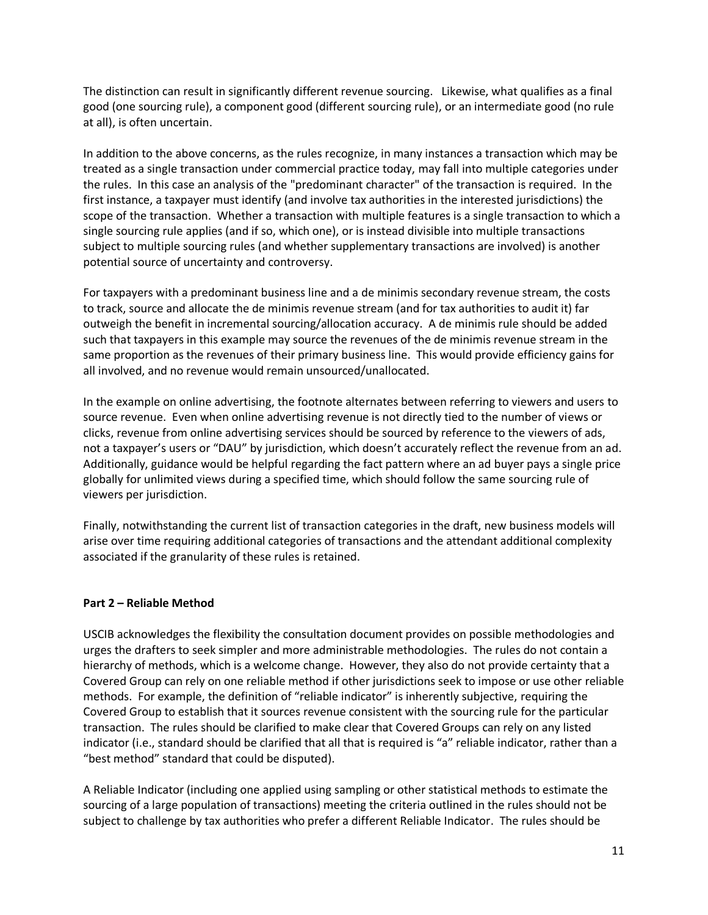The distinction can result in significantly different revenue sourcing. Likewise, what qualifies as a final good (one sourcing rule), a component good (different sourcing rule), or an intermediate good (no rule at all), is often uncertain.

In addition to the above concerns, as the rules recognize, in many instances a transaction which may be treated as a single transaction under commercial practice today, may fall into multiple categories under the rules. In this case an analysis of the "predominant character" of the transaction is required. In the first instance, a taxpayer must identify (and involve tax authorities in the interested jurisdictions) the scope of the transaction. Whether a transaction with multiple features is a single transaction to which a single sourcing rule applies (and if so, which one), or is instead divisible into multiple transactions subject to multiple sourcing rules (and whether supplementary transactions are involved) is another potential source of uncertainty and controversy.

For taxpayers with a predominant business line and a de minimis secondary revenue stream, the costs to track, source and allocate the de minimis revenue stream (and for tax authorities to audit it) far outweigh the benefit in incremental sourcing/allocation accuracy. A de minimis rule should be added such that taxpayers in this example may source the revenues of the de minimis revenue stream in the same proportion as the revenues of their primary business line. This would provide efficiency gains for all involved, and no revenue would remain unsourced/unallocated.

In the example on online advertising, the footnote alternates between referring to viewers and users to source revenue. Even when online advertising revenue is not directly tied to the number of views or clicks, revenue from online advertising services should be sourced by reference to the viewers of ads, not a taxpayer's users or "DAU" by jurisdiction, which doesn't accurately reflect the revenue from an ad. Additionally, guidance would be helpful regarding the fact pattern where an ad buyer pays a single price globally for unlimited views during a specified time, which should follow the same sourcing rule of viewers per jurisdiction.

Finally, notwithstanding the current list of transaction categories in the draft, new business models will arise over time requiring additional categories of transactions and the attendant additional complexity associated if the granularity of these rules is retained.

#### **Part 2 – Reliable Method**

USCIB acknowledges the flexibility the consultation document provides on possible methodologies and urges the drafters to seek simpler and more administrable methodologies. The rules do not contain a hierarchy of methods, which is a welcome change. However, they also do not provide certainty that a Covered Group can rely on one reliable method if other jurisdictions seek to impose or use other reliable methods. For example, the definition of "reliable indicator" is inherently subjective, requiring the Covered Group to establish that it sources revenue consistent with the sourcing rule for the particular transaction. The rules should be clarified to make clear that Covered Groups can rely on any listed indicator (i.e., standard should be clarified that all that is required is "a" reliable indicator, rather than a "best method" standard that could be disputed).

A Reliable Indicator (including one applied using sampling or other statistical methods to estimate the sourcing of a large population of transactions) meeting the criteria outlined in the rules should not be subject to challenge by tax authorities who prefer a different Reliable Indicator. The rules should be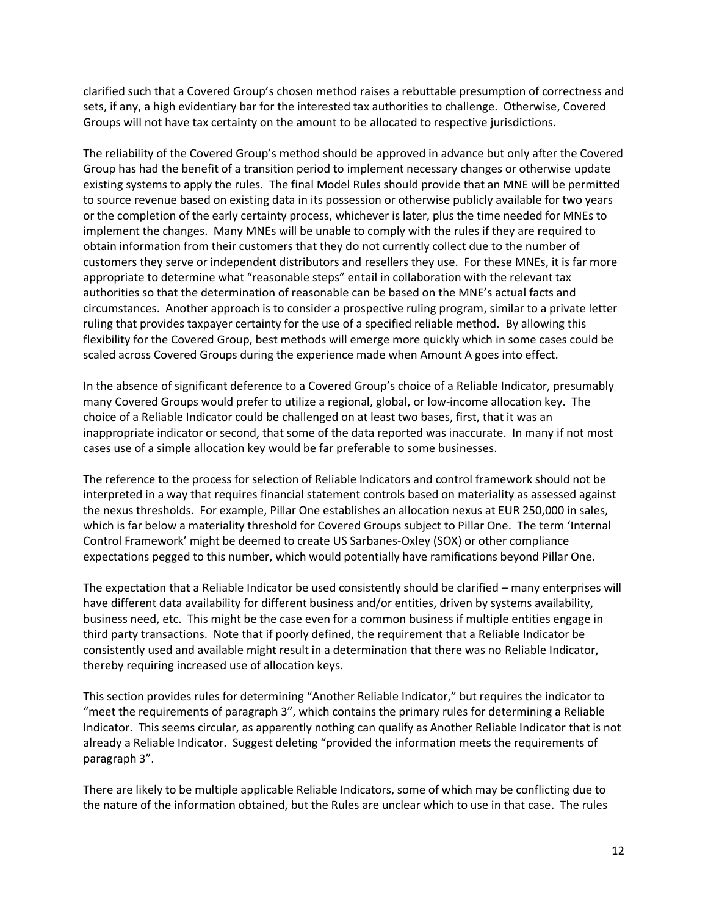clarified such that a Covered Group's chosen method raises a rebuttable presumption of correctness and sets, if any, a high evidentiary bar for the interested tax authorities to challenge. Otherwise, Covered Groups will not have tax certainty on the amount to be allocated to respective jurisdictions.

The reliability of the Covered Group's method should be approved in advance but only after the Covered Group has had the benefit of a transition period to implement necessary changes or otherwise update existing systems to apply the rules. The final Model Rules should provide that an MNE will be permitted to source revenue based on existing data in its possession or otherwise publicly available for two years or the completion of the early certainty process, whichever is later, plus the time needed for MNEs to implement the changes. Many MNEs will be unable to comply with the rules if they are required to obtain information from their customers that they do not currently collect due to the number of customers they serve or independent distributors and resellers they use. For these MNEs, it is far more appropriate to determine what "reasonable steps" entail in collaboration with the relevant tax authorities so that the determination of reasonable can be based on the MNE's actual facts and circumstances. Another approach is to consider a prospective ruling program, similar to a private letter ruling that provides taxpayer certainty for the use of a specified reliable method. By allowing this flexibility for the Covered Group, best methods will emerge more quickly which in some cases could be scaled across Covered Groups during the experience made when Amount A goes into effect.

In the absence of significant deference to a Covered Group's choice of a Reliable Indicator, presumably many Covered Groups would prefer to utilize a regional, global, or low-income allocation key. The choice of a Reliable Indicator could be challenged on at least two bases, first, that it was an inappropriate indicator or second, that some of the data reported was inaccurate. In many if not most cases use of a simple allocation key would be far preferable to some businesses.

The reference to the process for selection of Reliable Indicators and control framework should not be interpreted in a way that requires financial statement controls based on materiality as assessed against the nexus thresholds. For example, Pillar One establishes an allocation nexus at EUR 250,000 in sales, which is far below a materiality threshold for Covered Groups subject to Pillar One. The term 'Internal Control Framework' might be deemed to create US Sarbanes-Oxley (SOX) or other compliance expectations pegged to this number, which would potentially have ramifications beyond Pillar One.

The expectation that a Reliable Indicator be used consistently should be clarified – many enterprises will have different data availability for different business and/or entities, driven by systems availability, business need, etc. This might be the case even for a common business if multiple entities engage in third party transactions. Note that if poorly defined, the requirement that a Reliable Indicator be consistently used and available might result in a determination that there was no Reliable Indicator, thereby requiring increased use of allocation keys.

This section provides rules for determining "Another Reliable Indicator," but requires the indicator to "meet the requirements of paragraph 3", which contains the primary rules for determining a Reliable Indicator. This seems circular, as apparently nothing can qualify as Another Reliable Indicator that is not already a Reliable Indicator. Suggest deleting "provided the information meets the requirements of paragraph 3".

There are likely to be multiple applicable Reliable Indicators, some of which may be conflicting due to the nature of the information obtained, but the Rules are unclear which to use in that case. The rules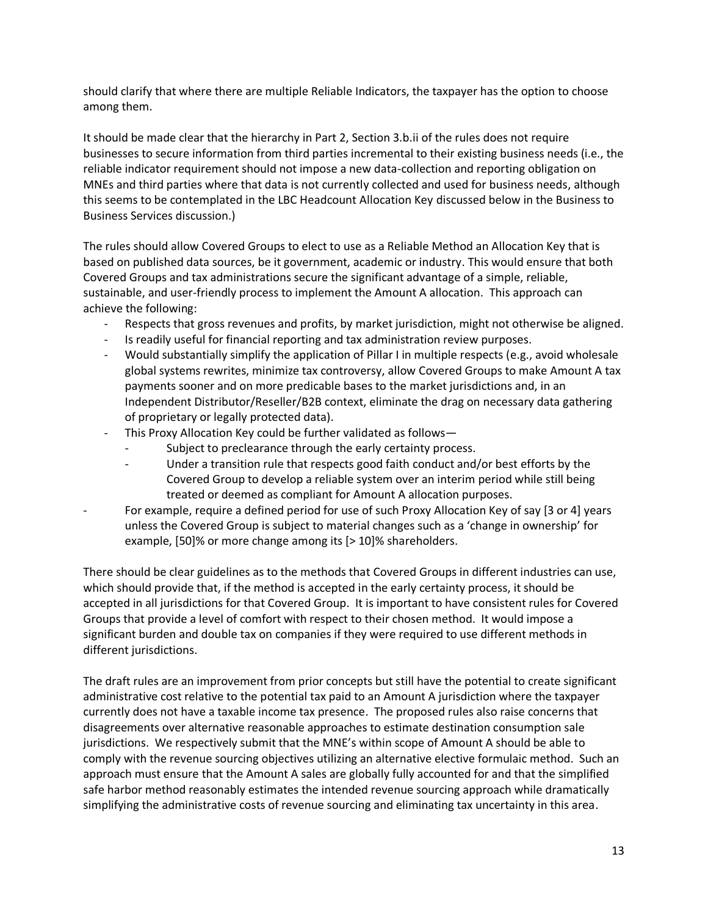should clarify that where there are multiple Reliable Indicators, the taxpayer has the option to choose among them.

It should be made clear that the hierarchy in Part 2, Section 3.b.ii of the rules does not require businesses to secure information from third parties incremental to their existing business needs (i.e., the reliable indicator requirement should not impose a new data-collection and reporting obligation on MNEs and third parties where that data is not currently collected and used for business needs, although this seems to be contemplated in the LBC Headcount Allocation Key discussed below in the Business to Business Services discussion.)

The rules should allow Covered Groups to elect to use as a Reliable Method an Allocation Key that is based on published data sources, be it government, academic or industry. This would ensure that both Covered Groups and tax administrations secure the significant advantage of a simple, reliable, sustainable, and user-friendly process to implement the Amount A allocation. This approach can achieve the following:

- Respects that gross revenues and profits, by market jurisdiction, might not otherwise be aligned.
- Is readily useful for financial reporting and tax administration review purposes.
- Would substantially simplify the application of Pillar I in multiple respects (e.g., avoid wholesale global systems rewrites, minimize tax controversy, allow Covered Groups to make Amount A tax payments sooner and on more predicable bases to the market jurisdictions and, in an Independent Distributor/Reseller/B2B context, eliminate the drag on necessary data gathering of proprietary or legally protected data).
- This Proxy Allocation Key could be further validated as follows-
	- Subject to preclearance through the early certainty process.
	- Under a transition rule that respects good faith conduct and/or best efforts by the Covered Group to develop a reliable system over an interim period while still being treated or deemed as compliant for Amount A allocation purposes.
- For example, require a defined period for use of such Proxy Allocation Key of say [3 or 4] years unless the Covered Group is subject to material changes such as a 'change in ownership' for example, [50]% or more change among its [> 10]% shareholders.

There should be clear guidelines as to the methods that Covered Groups in different industries can use, which should provide that, if the method is accepted in the early certainty process, it should be accepted in all jurisdictions for that Covered Group. It is important to have consistent rules for Covered Groups that provide a level of comfort with respect to their chosen method. It would impose a significant burden and double tax on companies if they were required to use different methods in different jurisdictions.

The draft rules are an improvement from prior concepts but still have the potential to create significant administrative cost relative to the potential tax paid to an Amount A jurisdiction where the taxpayer currently does not have a taxable income tax presence. The proposed rules also raise concerns that disagreements over alternative reasonable approaches to estimate destination consumption sale jurisdictions. We respectively submit that the MNE's within scope of Amount A should be able to comply with the revenue sourcing objectives utilizing an alternative elective formulaic method. Such an approach must ensure that the Amount A sales are globally fully accounted for and that the simplified safe harbor method reasonably estimates the intended revenue sourcing approach while dramatically simplifying the administrative costs of revenue sourcing and eliminating tax uncertainty in this area.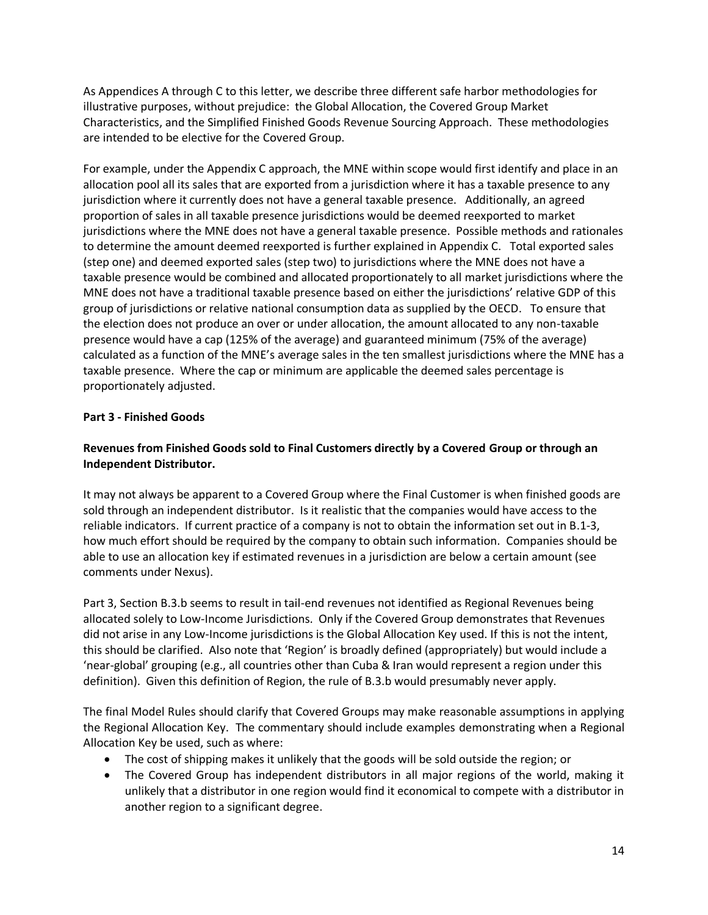As Appendices A through C to this letter, we describe three different safe harbor methodologies for illustrative purposes, without prejudice: the Global Allocation, the Covered Group Market Characteristics, and the Simplified Finished Goods Revenue Sourcing Approach. These methodologies are intended to be elective for the Covered Group.

For example, under the Appendix C approach, the MNE within scope would first identify and place in an allocation pool all its sales that are exported from a jurisdiction where it has a taxable presence to any jurisdiction where it currently does not have a general taxable presence. Additionally, an agreed proportion of sales in all taxable presence jurisdictions would be deemed reexported to market jurisdictions where the MNE does not have a general taxable presence. Possible methods and rationales to determine the amount deemed reexported is further explained in Appendix C. Total exported sales (step one) and deemed exported sales (step two) to jurisdictions where the MNE does not have a taxable presence would be combined and allocated proportionately to all market jurisdictions where the MNE does not have a traditional taxable presence based on either the jurisdictions' relative GDP of this group of jurisdictions or relative national consumption data as supplied by the OECD. To ensure that the election does not produce an over or under allocation, the amount allocated to any non-taxable presence would have a cap (125% of the average) and guaranteed minimum (75% of the average) calculated as a function of the MNE's average sales in the ten smallest jurisdictions where the MNE has a taxable presence. Where the cap or minimum are applicable the deemed sales percentage is proportionately adjusted.

## **Part 3 - Finished Goods**

# **Revenues from Finished Goods sold to Final Customers directly by a Covered Group or through an Independent Distributor.**

It may not always be apparent to a Covered Group where the Final Customer is when finished goods are sold through an independent distributor. Is it realistic that the companies would have access to the reliable indicators. If current practice of a company is not to obtain the information set out in B.1-3, how much effort should be required by the company to obtain such information. Companies should be able to use an allocation key if estimated revenues in a jurisdiction are below a certain amount (see comments under Nexus).

Part 3, Section B.3.b seems to result in tail-end revenues not identified as Regional Revenues being allocated solely to Low-Income Jurisdictions. Only if the Covered Group demonstrates that Revenues did not arise in any Low-Income jurisdictions is the Global Allocation Key used. If this is not the intent, this should be clarified. Also note that 'Region' is broadly defined (appropriately) but would include a 'near-global' grouping (e.g., all countries other than Cuba & Iran would represent a region under this definition). Given this definition of Region, the rule of B.3.b would presumably never apply.

The final Model Rules should clarify that Covered Groups may make reasonable assumptions in applying the Regional Allocation Key. The commentary should include examples demonstrating when a Regional Allocation Key be used, such as where:

- The cost of shipping makes it unlikely that the goods will be sold outside the region; or
- The Covered Group has independent distributors in all major regions of the world, making it unlikely that a distributor in one region would find it economical to compete with a distributor in another region to a significant degree.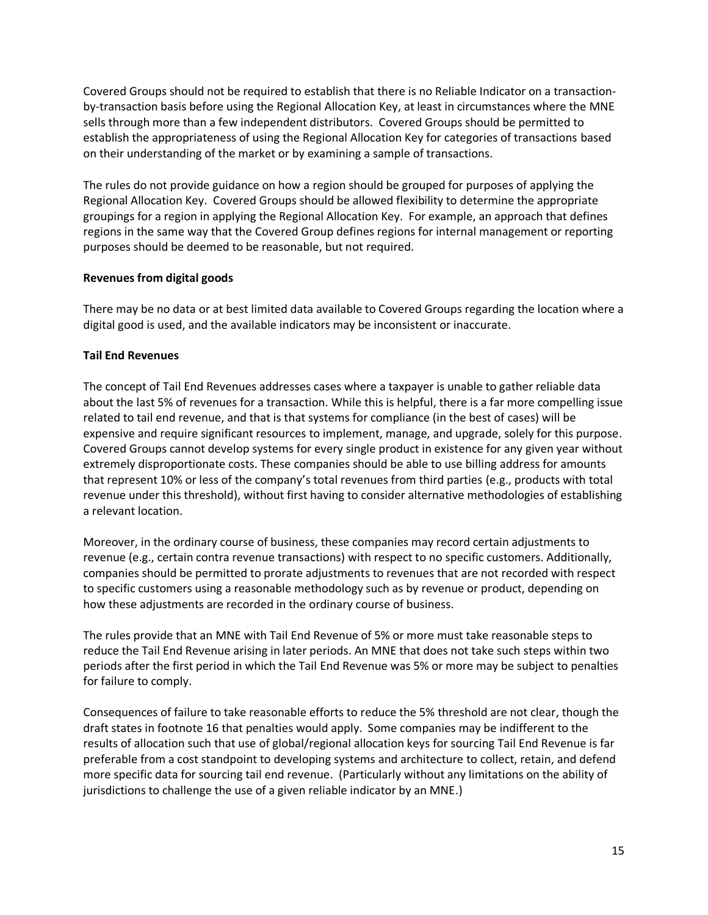Covered Groups should not be required to establish that there is no Reliable Indicator on a transactionby-transaction basis before using the Regional Allocation Key, at least in circumstances where the MNE sells through more than a few independent distributors. Covered Groups should be permitted to establish the appropriateness of using the Regional Allocation Key for categories of transactions based on their understanding of the market or by examining a sample of transactions.

The rules do not provide guidance on how a region should be grouped for purposes of applying the Regional Allocation Key. Covered Groups should be allowed flexibility to determine the appropriate groupings for a region in applying the Regional Allocation Key. For example, an approach that defines regions in the same way that the Covered Group defines regions for internal management or reporting purposes should be deemed to be reasonable, but not required.

#### **Revenues from digital goods**

There may be no data or at best limited data available to Covered Groups regarding the location where a digital good is used, and the available indicators may be inconsistent or inaccurate.

# **Tail End Revenues**

The concept of Tail End Revenues addresses cases where a taxpayer is unable to gather reliable data about the last 5% of revenues for a transaction. While this is helpful, there is a far more compelling issue related to tail end revenue, and that is that systems for compliance (in the best of cases) will be expensive and require significant resources to implement, manage, and upgrade, solely for this purpose. Covered Groups cannot develop systems for every single product in existence for any given year without extremely disproportionate costs. These companies should be able to use billing address for amounts that represent 10% or less of the company's total revenues from third parties (e.g., products with total revenue under this threshold), without first having to consider alternative methodologies of establishing a relevant location.

Moreover, in the ordinary course of business, these companies may record certain adjustments to revenue (e.g., certain contra revenue transactions) with respect to no specific customers. Additionally, companies should be permitted to prorate adjustments to revenues that are not recorded with respect to specific customers using a reasonable methodology such as by revenue or product, depending on how these adjustments are recorded in the ordinary course of business.

The rules provide that an MNE with Tail End Revenue of 5% or more must take reasonable steps to reduce the Tail End Revenue arising in later periods. An MNE that does not take such steps within two periods after the first period in which the Tail End Revenue was 5% or more may be subject to penalties for failure to comply.

Consequences of failure to take reasonable efforts to reduce the 5% threshold are not clear, though the draft states in footnote 16 that penalties would apply. Some companies may be indifferent to the results of allocation such that use of global/regional allocation keys for sourcing Tail End Revenue is far preferable from a cost standpoint to developing systems and architecture to collect, retain, and defend more specific data for sourcing tail end revenue. (Particularly without any limitations on the ability of jurisdictions to challenge the use of a given reliable indicator by an MNE.)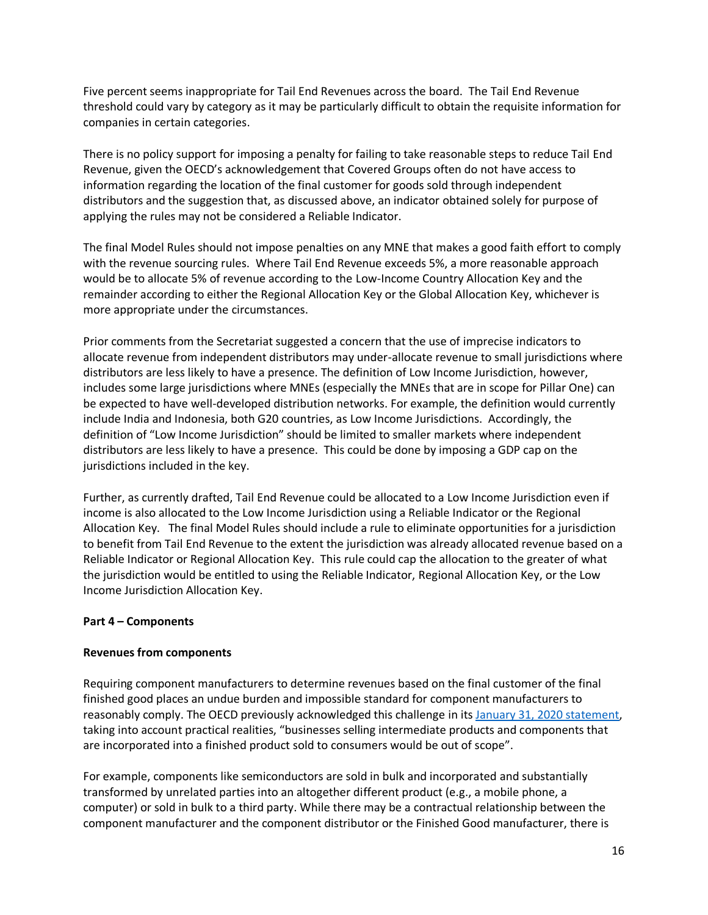Five percent seems inappropriate for Tail End Revenues across the board. The Tail End Revenue threshold could vary by category as it may be particularly difficult to obtain the requisite information for companies in certain categories.

There is no policy support for imposing a penalty for failing to take reasonable steps to reduce Tail End Revenue, given the OECD's acknowledgement that Covered Groups often do not have access to information regarding the location of the final customer for goods sold through independent distributors and the suggestion that, as discussed above, an indicator obtained solely for purpose of applying the rules may not be considered a Reliable Indicator.

The final Model Rules should not impose penalties on any MNE that makes a good faith effort to comply with the revenue sourcing rules. Where Tail End Revenue exceeds 5%, a more reasonable approach would be to allocate 5% of revenue according to the Low-Income Country Allocation Key and the remainder according to either the Regional Allocation Key or the Global Allocation Key, whichever is more appropriate under the circumstances.

Prior comments from the Secretariat suggested a concern that the use of imprecise indicators to allocate revenue from independent distributors may under-allocate revenue to small jurisdictions where distributors are less likely to have a presence. The definition of Low Income Jurisdiction, however, includes some large jurisdictions where MNEs (especially the MNEs that are in scope for Pillar One) can be expected to have well-developed distribution networks. For example, the definition would currently include India and Indonesia, both G20 countries, as Low Income Jurisdictions. Accordingly, the definition of "Low Income Jurisdiction" should be limited to smaller markets where independent distributors are less likely to have a presence. This could be done by imposing a GDP cap on the jurisdictions included in the key.

Further, as currently drafted, Tail End Revenue could be allocated to a Low Income Jurisdiction even if income is also allocated to the Low Income Jurisdiction using a Reliable Indicator or the Regional Allocation Key. The final Model Rules should include a rule to eliminate opportunities for a jurisdiction to benefit from Tail End Revenue to the extent the jurisdiction was already allocated revenue based on a Reliable Indicator or Regional Allocation Key. This rule could cap the allocation to the greater of what the jurisdiction would be entitled to using the Reliable Indicator, Regional Allocation Key, or the Low Income Jurisdiction Allocation Key.

#### **Part 4 – Components**

#### **Revenues from components**

Requiring component manufacturers to determine revenues based on the final customer of the final finished good places an undue burden and impossible standard for component manufacturers to reasonably comply. The OECD previously acknowledged this challenge in its January 31, [2020 statement,](https://www.oecd.org/tax/beps/statement-by-the-oecd-g20-inclusive-framework-on-beps-january-2020.pdf) taking into account practical realities, "businesses selling intermediate products and components that are incorporated into a finished product sold to consumers would be out of scope".

For example, components like semiconductors are sold in bulk and incorporated and substantially transformed by unrelated parties into an altogether different product (e.g., a mobile phone, a computer) or sold in bulk to a third party. While there may be a contractual relationship between the component manufacturer and the component distributor or the Finished Good manufacturer, there is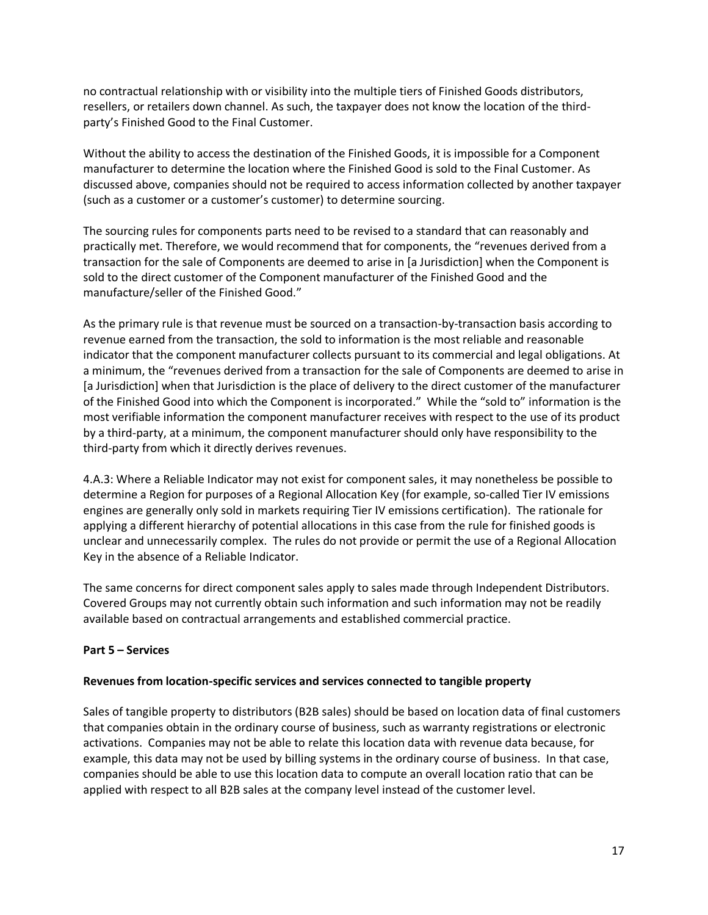no contractual relationship with or visibility into the multiple tiers of Finished Goods distributors, resellers, or retailers down channel. As such, the taxpayer does not know the location of the thirdparty's Finished Good to the Final Customer.

Without the ability to access the destination of the Finished Goods, it is impossible for a Component manufacturer to determine the location where the Finished Good is sold to the Final Customer. As discussed above, companies should not be required to access information collected by another taxpayer (such as a customer or a customer's customer) to determine sourcing.

The sourcing rules for components parts need to be revised to a standard that can reasonably and practically met. Therefore, we would recommend that for components, the "revenues derived from a transaction for the sale of Components are deemed to arise in [a Jurisdiction] when the Component is sold to the direct customer of the Component manufacturer of the Finished Good and the manufacture/seller of the Finished Good."

As the primary rule is that revenue must be sourced on a transaction-by-transaction basis according to revenue earned from the transaction, the sold to information is the most reliable and reasonable indicator that the component manufacturer collects pursuant to its commercial and legal obligations. At a minimum, the "revenues derived from a transaction for the sale of Components are deemed to arise in [a Jurisdiction] when that Jurisdiction is the place of delivery to the direct customer of the manufacturer of the Finished Good into which the Component is incorporated." While the "sold to" information is the most verifiable information the component manufacturer receives with respect to the use of its product by a third-party, at a minimum, the component manufacturer should only have responsibility to the third-party from which it directly derives revenues.

4.A.3: Where a Reliable Indicator may not exist for component sales, it may nonetheless be possible to determine a Region for purposes of a Regional Allocation Key (for example, so-called Tier IV emissions engines are generally only sold in markets requiring Tier IV emissions certification). The rationale for applying a different hierarchy of potential allocations in this case from the rule for finished goods is unclear and unnecessarily complex. The rules do not provide or permit the use of a Regional Allocation Key in the absence of a Reliable Indicator.

The same concerns for direct component sales apply to sales made through Independent Distributors. Covered Groups may not currently obtain such information and such information may not be readily available based on contractual arrangements and established commercial practice.

# **Part 5 – Services**

#### **Revenues from location-specific services and services connected to tangible property**

Sales of tangible property to distributors (B2B sales) should be based on location data of final customers that companies obtain in the ordinary course of business, such as warranty registrations or electronic activations. Companies may not be able to relate this location data with revenue data because, for example, this data may not be used by billing systems in the ordinary course of business. In that case, companies should be able to use this location data to compute an overall location ratio that can be applied with respect to all B2B sales at the company level instead of the customer level.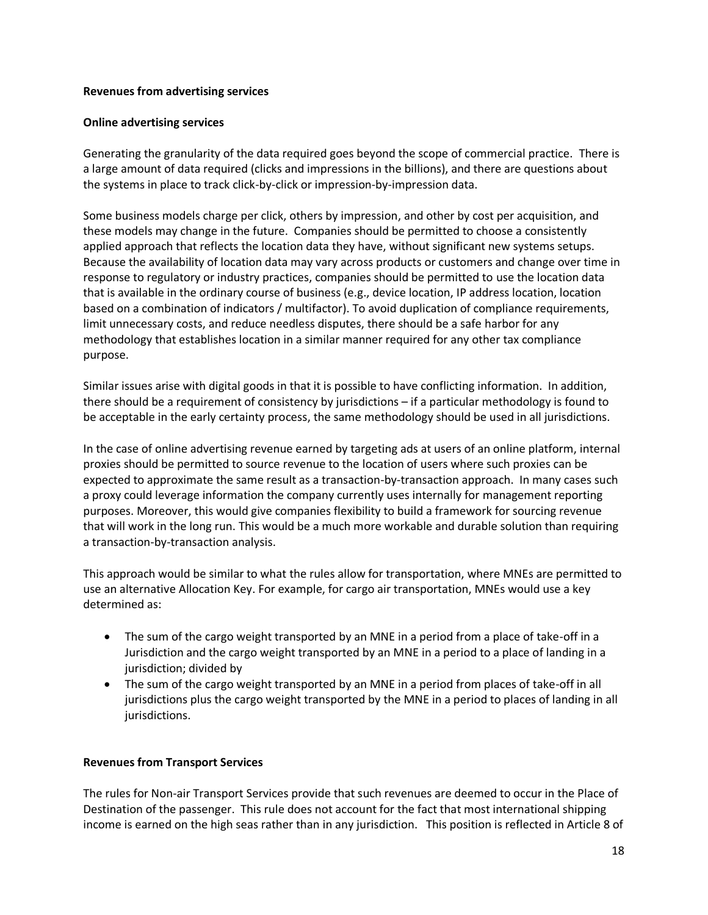#### **Revenues from advertising services**

#### **Online advertising services**

Generating the granularity of the data required goes beyond the scope of commercial practice. There is a large amount of data required (clicks and impressions in the billions), and there are questions about the systems in place to track click-by-click or impression-by-impression data.

Some business models charge per click, others by impression, and other by cost per acquisition, and these models may change in the future. Companies should be permitted to choose a consistently applied approach that reflects the location data they have, without significant new systems setups. Because the availability of location data may vary across products or customers and change over time in response to regulatory or industry practices, companies should be permitted to use the location data that is available in the ordinary course of business (e.g., device location, IP address location, location based on a combination of indicators / multifactor). To avoid duplication of compliance requirements, limit unnecessary costs, and reduce needless disputes, there should be a safe harbor for any methodology that establishes location in a similar manner required for any other tax compliance purpose.

Similar issues arise with digital goods in that it is possible to have conflicting information. In addition, there should be a requirement of consistency by jurisdictions – if a particular methodology is found to be acceptable in the early certainty process, the same methodology should be used in all jurisdictions.

In the case of online advertising revenue earned by targeting ads at users of an online platform, internal proxies should be permitted to source revenue to the location of users where such proxies can be expected to approximate the same result as a transaction-by-transaction approach. In many cases such a proxy could leverage information the company currently uses internally for management reporting purposes. Moreover, this would give companies flexibility to build a framework for sourcing revenue that will work in the long run. This would be a much more workable and durable solution than requiring a transaction-by-transaction analysis.

This approach would be similar to what the rules allow for transportation, where MNEs are permitted to use an alternative Allocation Key. For example, for cargo air transportation, MNEs would use a key determined as:

- The sum of the cargo weight transported by an MNE in a period from a place of take-off in a Jurisdiction and the cargo weight transported by an MNE in a period to a place of landing in a jurisdiction; divided by
- The sum of the cargo weight transported by an MNE in a period from places of take-off in all jurisdictions plus the cargo weight transported by the MNE in a period to places of landing in all jurisdictions.

#### **Revenues from Transport Services**

The rules for Non-air Transport Services provide that such revenues are deemed to occur in the Place of Destination of the passenger. This rule does not account for the fact that most international shipping income is earned on the high seas rather than in any jurisdiction. This position is reflected in Article 8 of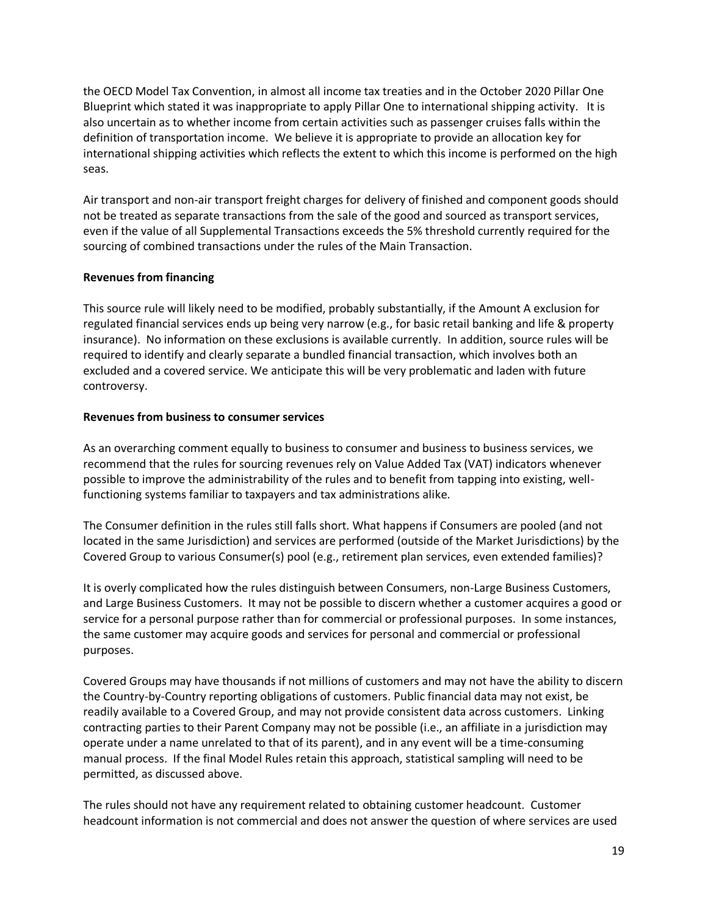the OECD Model Tax Convention, in almost all income tax treaties and in the October 2020 Pillar One Blueprint which stated it was inappropriate to apply Pillar One to international shipping activity. It is also uncertain as to whether income from certain activities such as passenger cruises falls within the definition of transportation income. We believe it is appropriate to provide an allocation key for international shipping activities which reflects the extent to which this income is performed on the high seas.

Air transport and non-air transport freight charges for delivery of finished and component goods should not be treated as separate transactions from the sale of the good and sourced as transport services, even if the value of all Supplemental Transactions exceeds the 5% threshold currently required for the sourcing of combined transactions under the rules of the Main Transaction.

#### **Revenues from financing**

This source rule will likely need to be modified, probably substantially, if the Amount A exclusion for regulated financial services ends up being very narrow (e.g., for basic retail banking and life & property insurance). No information on these exclusions is available currently. In addition, source rules will be required to identify and clearly separate a bundled financial transaction, which involves both an excluded and a covered service. We anticipate this will be very problematic and laden with future controversy.

## **Revenues from business to consumer services**

As an overarching comment equally to business to consumer and business to business services, we recommend that the rules for sourcing revenues rely on Value Added Tax (VAT) indicators whenever possible to improve the administrability of the rules and to benefit from tapping into existing, wellfunctioning systems familiar to taxpayers and tax administrations alike.

The Consumer definition in the rules still falls short. What happens if Consumers are pooled (and not located in the same Jurisdiction) and services are performed (outside of the Market Jurisdictions) by the Covered Group to various Consumer(s) pool (e.g., retirement plan services, even extended families)?

It is overly complicated how the rules distinguish between Consumers, non-Large Business Customers, and Large Business Customers. It may not be possible to discern whether a customer acquires a good or service for a personal purpose rather than for commercial or professional purposes. In some instances, the same customer may acquire goods and services for personal and commercial or professional purposes.

Covered Groups may have thousands if not millions of customers and may not have the ability to discern the Country-by-Country reporting obligations of customers. Public financial data may not exist, be readily available to a Covered Group, and may not provide consistent data across customers. Linking contracting parties to their Parent Company may not be possible (i.e., an affiliate in a jurisdiction may operate under a name unrelated to that of its parent), and in any event will be a time-consuming manual process. If the final Model Rules retain this approach, statistical sampling will need to be permitted, as discussed above.

The rules should not have any requirement related to obtaining customer headcount. Customer headcount information is not commercial and does not answer the question of where services are used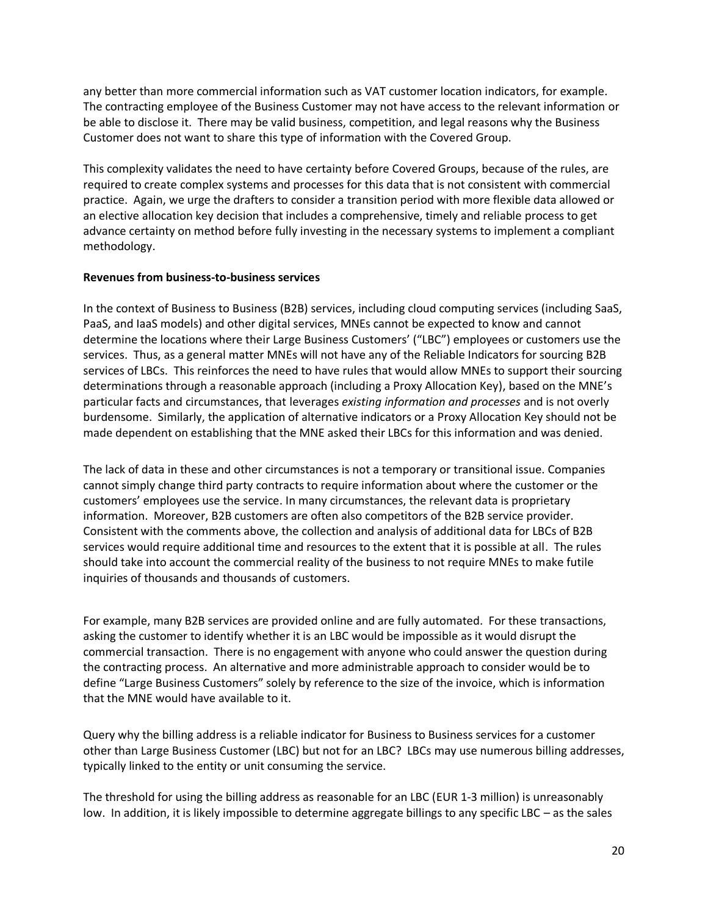any better than more commercial information such as VAT customer location indicators, for example. The contracting employee of the Business Customer may not have access to the relevant information or be able to disclose it. There may be valid business, competition, and legal reasons why the Business Customer does not want to share this type of information with the Covered Group.

This complexity validates the need to have certainty before Covered Groups, because of the rules, are required to create complex systems and processes for this data that is not consistent with commercial practice. Again, we urge the drafters to consider a transition period with more flexible data allowed or an elective allocation key decision that includes a comprehensive, timely and reliable process to get advance certainty on method before fully investing in the necessary systems to implement a compliant methodology.

#### **Revenues from business-to-business services**

In the context of Business to Business (B2B) services, including cloud computing services (including SaaS, PaaS, and IaaS models) and other digital services, MNEs cannot be expected to know and cannot determine the locations where their Large Business Customers' ("LBC") employees or customers use the services. Thus, as a general matter MNEs will not have any of the Reliable Indicators for sourcing B2B services of LBCs. This reinforces the need to have rules that would allow MNEs to support their sourcing determinations through a reasonable approach (including a Proxy Allocation Key), based on the MNE's particular facts and circumstances, that leverages *existing information and processes* and is not overly burdensome. Similarly, the application of alternative indicators or a Proxy Allocation Key should not be made dependent on establishing that the MNE asked their LBCs for this information and was denied.

The lack of data in these and other circumstances is not a temporary or transitional issue. Companies cannot simply change third party contracts to require information about where the customer or the customers' employees use the service. In many circumstances, the relevant data is proprietary information. Moreover, B2B customers are often also competitors of the B2B service provider. Consistent with the comments above, the collection and analysis of additional data for LBCs of B2B services would require additional time and resources to the extent that it is possible at all. The rules should take into account the commercial reality of the business to not require MNEs to make futile inquiries of thousands and thousands of customers.

For example, many B2B services are provided online and are fully automated. For these transactions, asking the customer to identify whether it is an LBC would be impossible as it would disrupt the commercial transaction. There is no engagement with anyone who could answer the question during the contracting process. An alternative and more administrable approach to consider would be to define "Large Business Customers" solely by reference to the size of the invoice, which is information that the MNE would have available to it.

Query why the billing address is a reliable indicator for Business to Business services for a customer other than Large Business Customer (LBC) but not for an LBC? LBCs may use numerous billing addresses, typically linked to the entity or unit consuming the service.

The threshold for using the billing address as reasonable for an LBC (EUR 1-3 million) is unreasonably low. In addition, it is likely impossible to determine aggregate billings to any specific LBC – as the sales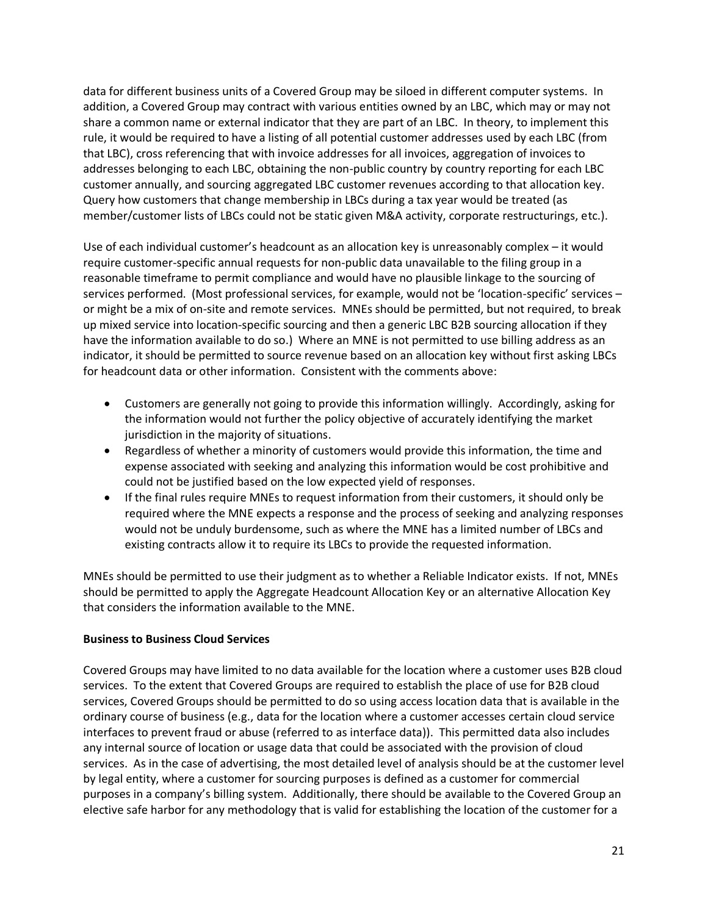data for different business units of a Covered Group may be siloed in different computer systems. In addition, a Covered Group may contract with various entities owned by an LBC, which may or may not share a common name or external indicator that they are part of an LBC. In theory, to implement this rule, it would be required to have a listing of all potential customer addresses used by each LBC (from that LBC), cross referencing that with invoice addresses for all invoices, aggregation of invoices to addresses belonging to each LBC, obtaining the non-public country by country reporting for each LBC customer annually, and sourcing aggregated LBC customer revenues according to that allocation key. Query how customers that change membership in LBCs during a tax year would be treated (as member/customer lists of LBCs could not be static given M&A activity, corporate restructurings, etc.).

Use of each individual customer's headcount as an allocation key is unreasonably complex – it would require customer-specific annual requests for non-public data unavailable to the filing group in a reasonable timeframe to permit compliance and would have no plausible linkage to the sourcing of services performed. (Most professional services, for example, would not be 'location-specific' services – or might be a mix of on-site and remote services. MNEs should be permitted, but not required, to break up mixed service into location-specific sourcing and then a generic LBC B2B sourcing allocation if they have the information available to do so.) Where an MNE is not permitted to use billing address as an indicator, it should be permitted to source revenue based on an allocation key without first asking LBCs for headcount data or other information. Consistent with the comments above:

- Customers are generally not going to provide this information willingly. Accordingly, asking for the information would not further the policy objective of accurately identifying the market jurisdiction in the majority of situations.
- Regardless of whether a minority of customers would provide this information, the time and expense associated with seeking and analyzing this information would be cost prohibitive and could not be justified based on the low expected yield of responses.
- If the final rules require MNEs to request information from their customers, it should only be required where the MNE expects a response and the process of seeking and analyzing responses would not be unduly burdensome, such as where the MNE has a limited number of LBCs and existing contracts allow it to require its LBCs to provide the requested information.

MNEs should be permitted to use their judgment as to whether a Reliable Indicator exists. If not, MNEs should be permitted to apply the Aggregate Headcount Allocation Key or an alternative Allocation Key that considers the information available to the MNE.

#### **Business to Business Cloud Services**

Covered Groups may have limited to no data available for the location where a customer uses B2B cloud services. To the extent that Covered Groups are required to establish the place of use for B2B cloud services, Covered Groups should be permitted to do so using access location data that is available in the ordinary course of business (e.g., data for the location where a customer accesses certain cloud service interfaces to prevent fraud or abuse (referred to as interface data)). This permitted data also includes any internal source of location or usage data that could be associated with the provision of cloud services. As in the case of advertising, the most detailed level of analysis should be at the customer level by legal entity, where a customer for sourcing purposes is defined as a customer for commercial purposes in a company's billing system. Additionally, there should be available to the Covered Group an elective safe harbor for any methodology that is valid for establishing the location of the customer for a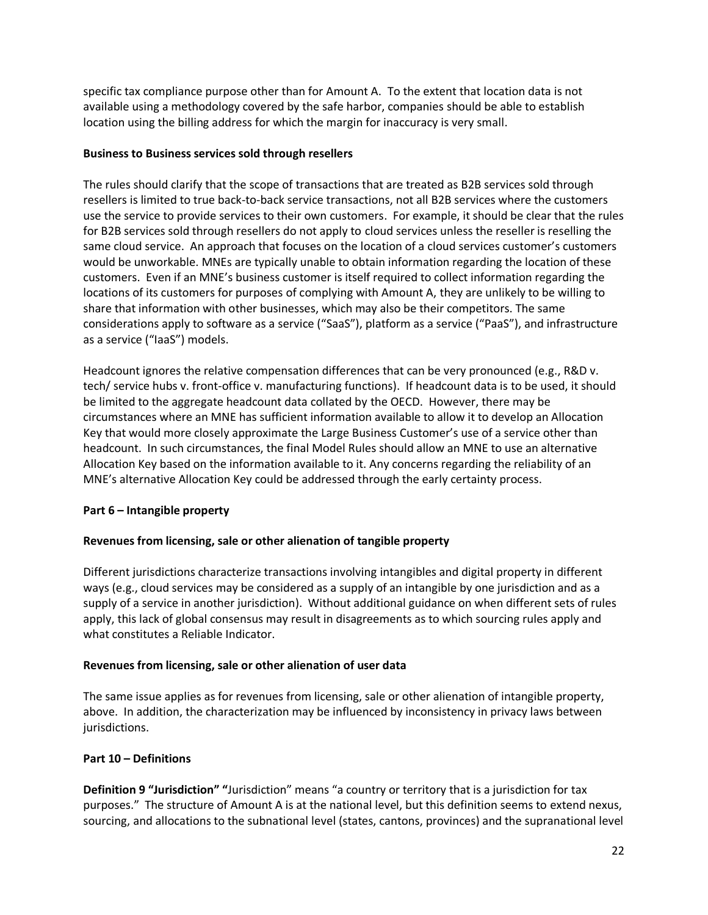specific tax compliance purpose other than for Amount A. To the extent that location data is not available using a methodology covered by the safe harbor, companies should be able to establish location using the billing address for which the margin for inaccuracy is very small.

## **Business to Business services sold through resellers**

The rules should clarify that the scope of transactions that are treated as B2B services sold through resellers is limited to true back-to-back service transactions, not all B2B services where the customers use the service to provide services to their own customers. For example, it should be clear that the rules for B2B services sold through resellers do not apply to cloud services unless the reseller is reselling the same cloud service. An approach that focuses on the location of a cloud services customer's customers would be unworkable. MNEs are typically unable to obtain information regarding the location of these customers. Even if an MNE's business customer is itself required to collect information regarding the locations of its customers for purposes of complying with Amount A, they are unlikely to be willing to share that information with other businesses, which may also be their competitors. The same considerations apply to software as a service ("SaaS"), platform as a service ("PaaS"), and infrastructure as a service ("IaaS") models.

Headcount ignores the relative compensation differences that can be very pronounced (e.g., R&D v. tech/ service hubs v. front-office v. manufacturing functions). If headcount data is to be used, it should be limited to the aggregate headcount data collated by the OECD. However, there may be circumstances where an MNE has sufficient information available to allow it to develop an Allocation Key that would more closely approximate the Large Business Customer's use of a service other than headcount. In such circumstances, the final Model Rules should allow an MNE to use an alternative Allocation Key based on the information available to it. Any concerns regarding the reliability of an MNE's alternative Allocation Key could be addressed through the early certainty process.

# **Part 6 – Intangible property**

# **Revenues from licensing, sale or other alienation of tangible property**

Different jurisdictions characterize transactions involving intangibles and digital property in different ways (e.g., cloud services may be considered as a supply of an intangible by one jurisdiction and as a supply of a service in another jurisdiction). Without additional guidance on when different sets of rules apply, this lack of global consensus may result in disagreements as to which sourcing rules apply and what constitutes a Reliable Indicator.

# **Revenues from licensing, sale or other alienation of user data**

The same issue applies as for revenues from licensing, sale or other alienation of intangible property, above. In addition, the characterization may be influenced by inconsistency in privacy laws between jurisdictions.

# **Part 10 – Definitions**

**Definition 9 "Jurisdiction" "**Jurisdiction" means "a country or territory that is a jurisdiction for tax purposes." The structure of Amount A is at the national level, but this definition seems to extend nexus, sourcing, and allocations to the subnational level (states, cantons, provinces) and the supranational level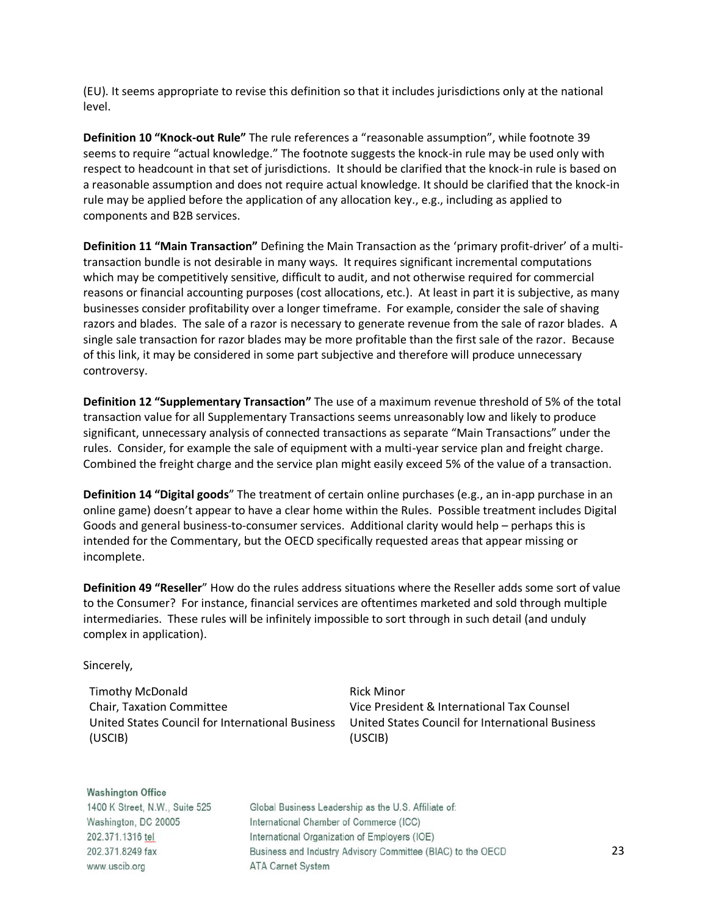(EU). It seems appropriate to revise this definition so that it includes jurisdictions only at the national level.

**Definition 10 "Knock-out Rule"** The rule references a "reasonable assumption", while footnote 39 seems to require "actual knowledge." The footnote suggests the knock-in rule may be used only with respect to headcount in that set of jurisdictions. It should be clarified that the knock-in rule is based on a reasonable assumption and does not require actual knowledge. It should be clarified that the knock-in rule may be applied before the application of any allocation key., e.g., including as applied to components and B2B services.

**Definition 11 "Main Transaction"** Defining the Main Transaction as the 'primary profit-driver' of a multitransaction bundle is not desirable in many ways. It requires significant incremental computations which may be competitively sensitive, difficult to audit, and not otherwise required for commercial reasons or financial accounting purposes (cost allocations, etc.). At least in part it is subjective, as many businesses consider profitability over a longer timeframe. For example, consider the sale of shaving razors and blades. The sale of a razor is necessary to generate revenue from the sale of razor blades. A single sale transaction for razor blades may be more profitable than the first sale of the razor. Because of this link, it may be considered in some part subjective and therefore will produce unnecessary controversy.

**Definition 12 "Supplementary Transaction"** The use of a maximum revenue threshold of 5% of the total transaction value for all Supplementary Transactions seems unreasonably low and likely to produce significant, unnecessary analysis of connected transactions as separate "Main Transactions" under the rules. Consider, for example the sale of equipment with a multi-year service plan and freight charge. Combined the freight charge and the service plan might easily exceed 5% of the value of a transaction.

**Definition 14 "Digital goods**" The treatment of certain online purchases (e.g., an in-app purchase in an online game) doesn't appear to have a clear home within the Rules. Possible treatment includes Digital Goods and general business-to-consumer services. Additional clarity would help – perhaps this is intended for the Commentary, but the OECD specifically requested areas that appear missing or incomplete.

**Definition 49 "Reseller**" How do the rules address situations where the Reseller adds some sort of value to the Consumer? For instance, financial services are oftentimes marketed and sold through multiple intermediaries. These rules will be infinitely impossible to sort through in such detail (and unduly complex in application).

Sincerely,

Timothy McDonald Chair, Taxation Committee (USCIB)

United States Council for International Business United States Council for International Business Rick Minor Vice President & International Tax Counsel (USCIB)

**Washington Office** 1400 K Street, N.W., Suite 525 Washington, DC 20005 202.371.1316 tel 202.371.8249 fax www.uscib.org

Global Business Leadership as the U.S. Affiliate of: International Chamber of Commerce (ICC) International Organization of Employers (IOE) Business and Industry Advisory Committee (BIAC) to the OECD **ATA Carnet System**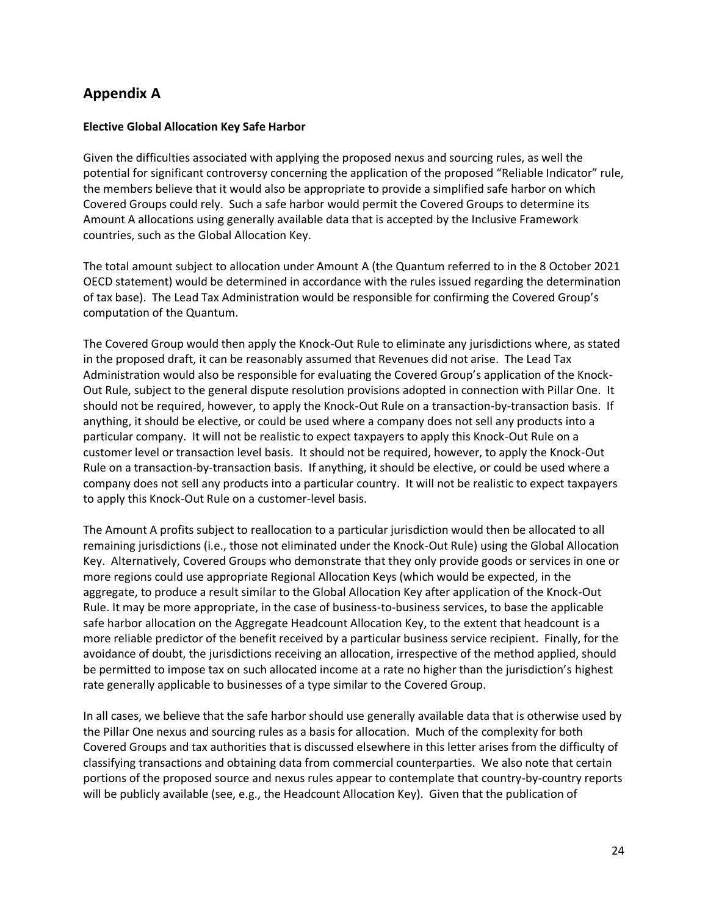# **Appendix A**

## **Elective Global Allocation Key Safe Harbor**

Given the difficulties associated with applying the proposed nexus and sourcing rules, as well the potential for significant controversy concerning the application of the proposed "Reliable Indicator" rule, the members believe that it would also be appropriate to provide a simplified safe harbor on which Covered Groups could rely. Such a safe harbor would permit the Covered Groups to determine its Amount A allocations using generally available data that is accepted by the Inclusive Framework countries, such as the Global Allocation Key.

The total amount subject to allocation under Amount A (the Quantum referred to in the 8 October 2021 OECD statement) would be determined in accordance with the rules issued regarding the determination of tax base). The Lead Tax Administration would be responsible for confirming the Covered Group's computation of the Quantum.

The Covered Group would then apply the Knock-Out Rule to eliminate any jurisdictions where, as stated in the proposed draft, it can be reasonably assumed that Revenues did not arise. The Lead Tax Administration would also be responsible for evaluating the Covered Group's application of the Knock-Out Rule, subject to the general dispute resolution provisions adopted in connection with Pillar One. It should not be required, however, to apply the Knock-Out Rule on a transaction-by-transaction basis. If anything, it should be elective, or could be used where a company does not sell any products into a particular company. It will not be realistic to expect taxpayers to apply this Knock-Out Rule on a customer level or transaction level basis. It should not be required, however, to apply the Knock-Out Rule on a transaction-by-transaction basis. If anything, it should be elective, or could be used where a company does not sell any products into a particular country. It will not be realistic to expect taxpayers to apply this Knock-Out Rule on a customer-level basis.

The Amount A profits subject to reallocation to a particular jurisdiction would then be allocated to all remaining jurisdictions (i.e., those not eliminated under the Knock-Out Rule) using the Global Allocation Key. Alternatively, Covered Groups who demonstrate that they only provide goods or services in one or more regions could use appropriate Regional Allocation Keys (which would be expected, in the aggregate, to produce a result similar to the Global Allocation Key after application of the Knock-Out Rule. It may be more appropriate, in the case of business-to-business services, to base the applicable safe harbor allocation on the Aggregate Headcount Allocation Key, to the extent that headcount is a more reliable predictor of the benefit received by a particular business service recipient. Finally, for the avoidance of doubt, the jurisdictions receiving an allocation, irrespective of the method applied, should be permitted to impose tax on such allocated income at a rate no higher than the jurisdiction's highest rate generally applicable to businesses of a type similar to the Covered Group.

In all cases, we believe that the safe harbor should use generally available data that is otherwise used by the Pillar One nexus and sourcing rules as a basis for allocation. Much of the complexity for both Covered Groups and tax authorities that is discussed elsewhere in this letter arises from the difficulty of classifying transactions and obtaining data from commercial counterparties. We also note that certain portions of the proposed source and nexus rules appear to contemplate that country-by-country reports will be publicly available (see, e.g., the Headcount Allocation Key). Given that the publication of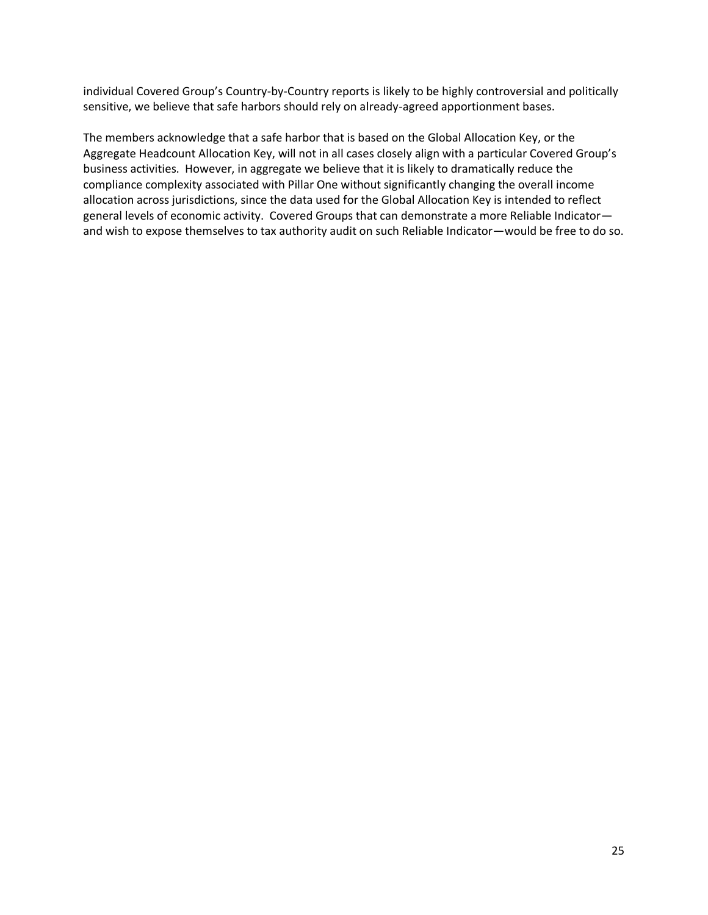individual Covered Group's Country-by-Country reports is likely to be highly controversial and politically sensitive, we believe that safe harbors should rely on already-agreed apportionment bases.

The members acknowledge that a safe harbor that is based on the Global Allocation Key, or the Aggregate Headcount Allocation Key, will not in all cases closely align with a particular Covered Group's business activities. However, in aggregate we believe that it is likely to dramatically reduce the compliance complexity associated with Pillar One without significantly changing the overall income allocation across jurisdictions, since the data used for the Global Allocation Key is intended to reflect general levels of economic activity. Covered Groups that can demonstrate a more Reliable Indicator and wish to expose themselves to tax authority audit on such Reliable Indicator—would be free to do so.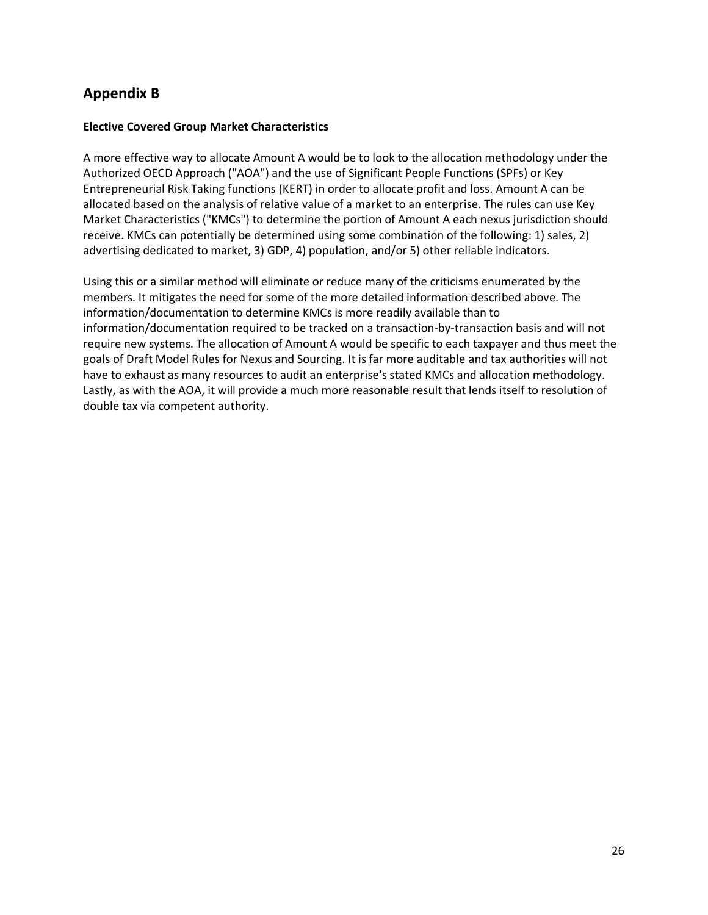# **Appendix B**

## **Elective Covered Group Market Characteristics**

A more effective way to allocate Amount A would be to look to the allocation methodology under the Authorized OECD Approach ("AOA") and the use of Significant People Functions (SPFs) or Key Entrepreneurial Risk Taking functions (KERT) in order to allocate profit and loss. Amount A can be allocated based on the analysis of relative value of a market to an enterprise. The rules can use Key Market Characteristics ("KMCs") to determine the portion of Amount A each nexus jurisdiction should receive. KMCs can potentially be determined using some combination of the following: 1) sales, 2) advertising dedicated to market, 3) GDP, 4) population, and/or 5) other reliable indicators.

Using this or a similar method will eliminate or reduce many of the criticisms enumerated by the members. It mitigates the need for some of the more detailed information described above. The information/documentation to determine KMCs is more readily available than to information/documentation required to be tracked on a transaction-by-transaction basis and will not require new systems. The allocation of Amount A would be specific to each taxpayer and thus meet the goals of Draft Model Rules for Nexus and Sourcing. It is far more auditable and tax authorities will not have to exhaust as many resources to audit an enterprise's stated KMCs and allocation methodology. Lastly, as with the AOA, it will provide a much more reasonable result that lends itself to resolution of double tax via competent authority.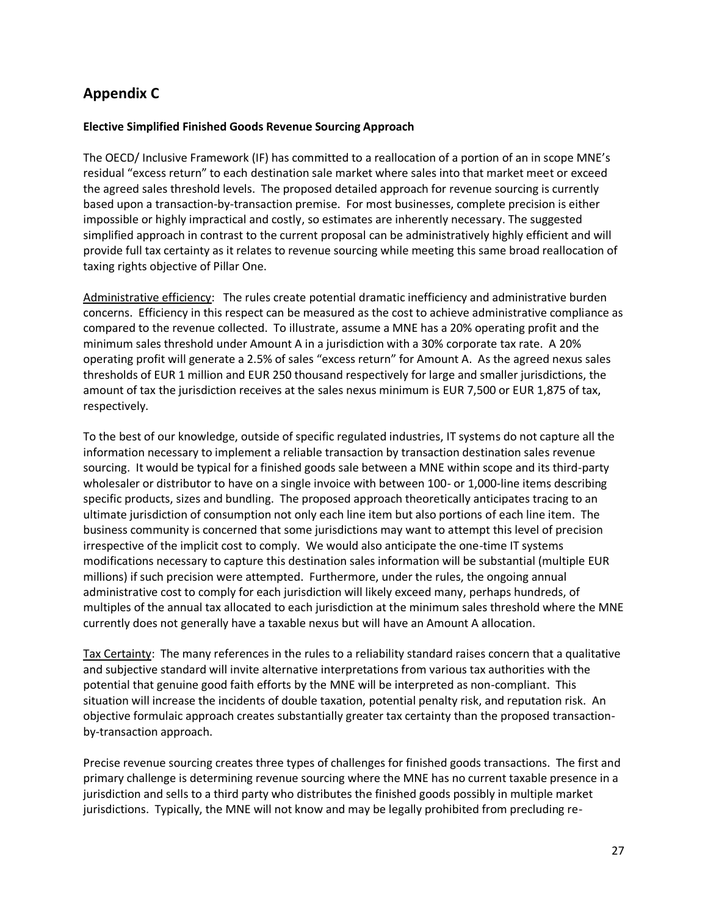# **Appendix C**

## **Elective Simplified Finished Goods Revenue Sourcing Approach**

The OECD/ Inclusive Framework (IF) has committed to a reallocation of a portion of an in scope MNE's residual "excess return" to each destination sale market where sales into that market meet or exceed the agreed sales threshold levels. The proposed detailed approach for revenue sourcing is currently based upon a transaction-by-transaction premise. For most businesses, complete precision is either impossible or highly impractical and costly, so estimates are inherently necessary. The suggested simplified approach in contrast to the current proposal can be administratively highly efficient and will provide full tax certainty as it relates to revenue sourcing while meeting this same broad reallocation of taxing rights objective of Pillar One.

Administrative efficiency: The rules create potential dramatic inefficiency and administrative burden concerns. Efficiency in this respect can be measured as the cost to achieve administrative compliance as compared to the revenue collected. To illustrate, assume a MNE has a 20% operating profit and the minimum sales threshold under Amount A in a jurisdiction with a 30% corporate tax rate. A 20% operating profit will generate a 2.5% of sales "excess return" for Amount A. As the agreed nexus sales thresholds of EUR 1 million and EUR 250 thousand respectively for large and smaller jurisdictions, the amount of tax the jurisdiction receives at the sales nexus minimum is EUR 7,500 or EUR 1,875 of tax, respectively.

To the best of our knowledge, outside of specific regulated industries, IT systems do not capture all the information necessary to implement a reliable transaction by transaction destination sales revenue sourcing. It would be typical for a finished goods sale between a MNE within scope and its third-party wholesaler or distributor to have on a single invoice with between 100- or 1,000-line items describing specific products, sizes and bundling. The proposed approach theoretically anticipates tracing to an ultimate jurisdiction of consumption not only each line item but also portions of each line item. The business community is concerned that some jurisdictions may want to attempt this level of precision irrespective of the implicit cost to comply. We would also anticipate the one-time IT systems modifications necessary to capture this destination sales information will be substantial (multiple EUR millions) if such precision were attempted. Furthermore, under the rules, the ongoing annual administrative cost to comply for each jurisdiction will likely exceed many, perhaps hundreds, of multiples of the annual tax allocated to each jurisdiction at the minimum sales threshold where the MNE currently does not generally have a taxable nexus but will have an Amount A allocation.

Tax Certainty: The many references in the rules to a reliability standard raises concern that a qualitative and subjective standard will invite alternative interpretations from various tax authorities with the potential that genuine good faith efforts by the MNE will be interpreted as non-compliant. This situation will increase the incidents of double taxation, potential penalty risk, and reputation risk. An objective formulaic approach creates substantially greater tax certainty than the proposed transactionby-transaction approach.

Precise revenue sourcing creates three types of challenges for finished goods transactions. The first and primary challenge is determining revenue sourcing where the MNE has no current taxable presence in a jurisdiction and sells to a third party who distributes the finished goods possibly in multiple market jurisdictions. Typically, the MNE will not know and may be legally prohibited from precluding re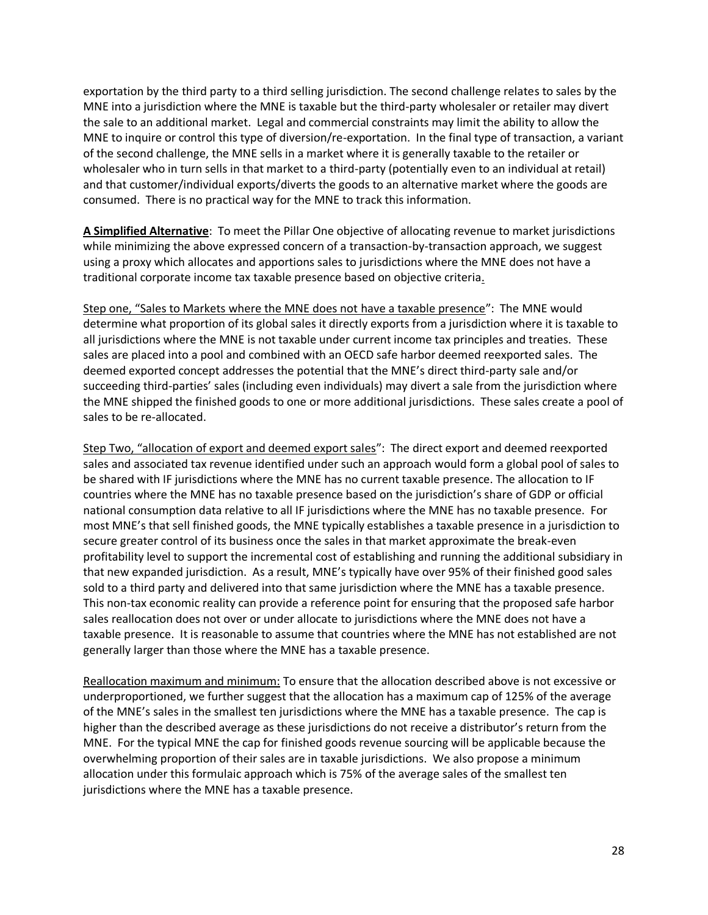exportation by the third party to a third selling jurisdiction. The second challenge relates to sales by the MNE into a jurisdiction where the MNE is taxable but the third-party wholesaler or retailer may divert the sale to an additional market. Legal and commercial constraints may limit the ability to allow the MNE to inquire or control this type of diversion/re-exportation. In the final type of transaction, a variant of the second challenge, the MNE sells in a market where it is generally taxable to the retailer or wholesaler who in turn sells in that market to a third-party (potentially even to an individual at retail) and that customer/individual exports/diverts the goods to an alternative market where the goods are consumed. There is no practical way for the MNE to track this information.

**A Simplified Alternative**: To meet the Pillar One objective of allocating revenue to market jurisdictions while minimizing the above expressed concern of a transaction-by-transaction approach, we suggest using a proxy which allocates and apportions sales to jurisdictions where the MNE does not have a traditional corporate income tax taxable presence based on objective criteria.

Step one, "Sales to Markets where the MNE does not have a taxable presence": The MNE would determine what proportion of its global sales it directly exports from a jurisdiction where it is taxable to all jurisdictions where the MNE is not taxable under current income tax principles and treaties. These sales are placed into a pool and combined with an OECD safe harbor deemed reexported sales. The deemed exported concept addresses the potential that the MNE's direct third-party sale and/or succeeding third-parties' sales (including even individuals) may divert a sale from the jurisdiction where the MNE shipped the finished goods to one or more additional jurisdictions. These sales create a pool of sales to be re-allocated.

Step Two, "allocation of export and deemed export sales": The direct export and deemed reexported sales and associated tax revenue identified under such an approach would form a global pool of sales to be shared with IF jurisdictions where the MNE has no current taxable presence. The allocation to IF countries where the MNE has no taxable presence based on the jurisdiction's share of GDP or official national consumption data relative to all IF jurisdictions where the MNE has no taxable presence. For most MNE's that sell finished goods, the MNE typically establishes a taxable presence in a jurisdiction to secure greater control of its business once the sales in that market approximate the break-even profitability level to support the incremental cost of establishing and running the additional subsidiary in that new expanded jurisdiction. As a result, MNE's typically have over 95% of their finished good sales sold to a third party and delivered into that same jurisdiction where the MNE has a taxable presence. This non-tax economic reality can provide a reference point for ensuring that the proposed safe harbor sales reallocation does not over or under allocate to jurisdictions where the MNE does not have a taxable presence. It is reasonable to assume that countries where the MNE has not established are not generally larger than those where the MNE has a taxable presence.

Reallocation maximum and minimum: To ensure that the allocation described above is not excessive or underproportioned, we further suggest that the allocation has a maximum cap of 125% of the average of the MNE's sales in the smallest ten jurisdictions where the MNE has a taxable presence. The cap is higher than the described average as these jurisdictions do not receive a distributor's return from the MNE. For the typical MNE the cap for finished goods revenue sourcing will be applicable because the overwhelming proportion of their sales are in taxable jurisdictions. We also propose a minimum allocation under this formulaic approach which is 75% of the average sales of the smallest ten jurisdictions where the MNE has a taxable presence.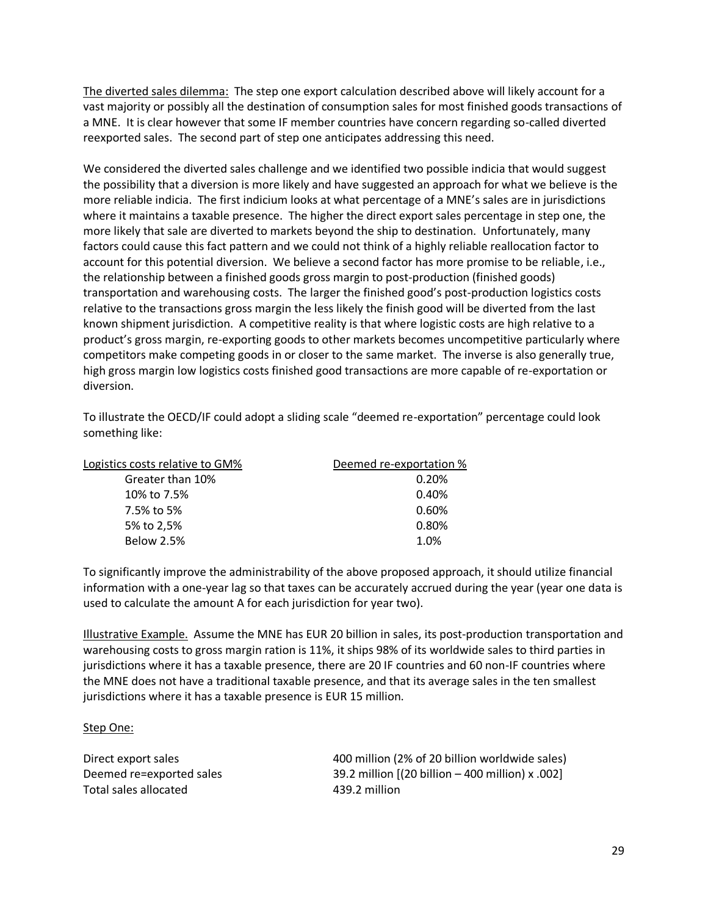The diverted sales dilemma: The step one export calculation described above will likely account for a vast majority or possibly all the destination of consumption sales for most finished goods transactions of a MNE. It is clear however that some IF member countries have concern regarding so-called diverted reexported sales. The second part of step one anticipates addressing this need.

We considered the diverted sales challenge and we identified two possible indicia that would suggest the possibility that a diversion is more likely and have suggested an approach for what we believe is the more reliable indicia. The first indicium looks at what percentage of a MNE's sales are in jurisdictions where it maintains a taxable presence. The higher the direct export sales percentage in step one, the more likely that sale are diverted to markets beyond the ship to destination. Unfortunately, many factors could cause this fact pattern and we could not think of a highly reliable reallocation factor to account for this potential diversion. We believe a second factor has more promise to be reliable, i.e., the relationship between a finished goods gross margin to post-production (finished goods) transportation and warehousing costs. The larger the finished good's post-production logistics costs relative to the transactions gross margin the less likely the finish good will be diverted from the last known shipment jurisdiction. A competitive reality is that where logistic costs are high relative to a product's gross margin, re-exporting goods to other markets becomes uncompetitive particularly where competitors make competing goods in or closer to the same market. The inverse is also generally true, high gross margin low logistics costs finished good transactions are more capable of re-exportation or diversion.

To illustrate the OECD/IF could adopt a sliding scale "deemed re-exportation" percentage could look something like:

| Logistics costs relative to GM% | Deemed re-exportation % |
|---------------------------------|-------------------------|
| Greater than 10%                | 0.20%                   |
| 10% to 7.5%                     | 0.40%                   |
| 7.5% to 5%                      | 0.60%                   |
| 5% to 2,5%                      | 0.80%                   |
| <b>Below 2.5%</b>               | 1.0%                    |

To significantly improve the administrability of the above proposed approach, it should utilize financial information with a one-year lag so that taxes can be accurately accrued during the year (year one data is used to calculate the amount A for each jurisdiction for year two).

Illustrative Example. Assume the MNE has EUR 20 billion in sales, its post-production transportation and warehousing costs to gross margin ration is 11%, it ships 98% of its worldwide sales to third parties in jurisdictions where it has a taxable presence, there are 20 IF countries and 60 non-IF countries where the MNE does not have a traditional taxable presence, and that its average sales in the ten smallest jurisdictions where it has a taxable presence is EUR 15 million.

Step One:

Total sales allocated 120 and 139.2 million

Direct export sales 400 million (2% of 20 billion worldwide sales) Deemed re=exported sales 39.2 million [(20 billion – 400 million) x .002]